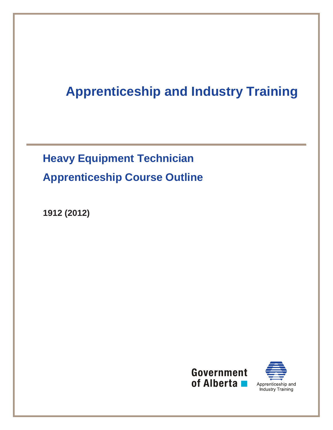# **Apprenticeship and Industry Training**

# **Heavy Equipment Technician Apprenticeship Course Outline**

**1912 (2012)** 



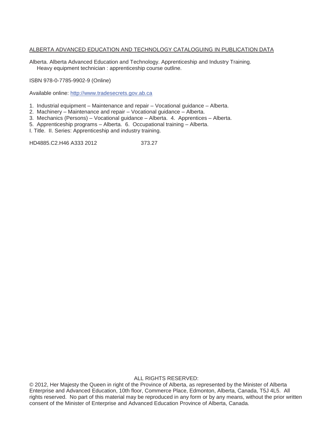#### ALBERTA ADVANCED EDUCATION AND TECHNOLOGY CATALOGUING IN PUBLICATION DATA

Alberta. Alberta Advanced Education and Technology. Apprenticeship and Industry Training. Heavy equipment technician : apprenticeship course outline.

ISBN 978-0-7785-9902-9 (Online)

Available online: http://www.tradesecrets.gov.ab.ca

1. Industrial equipment – Maintenance and repair – Vocational guidance – Alberta.

2. Machinery – Maintenance and repair – Vocational guidance – Alberta.

3. Mechanics (Persons) – Vocational guidance – Alberta. 4. Apprentices – Alberta.

5. Apprenticeship programs – Alberta. 6. Occupational training – Alberta.

I. Title. II. Series: Apprenticeship and industry training.

HD4885.C2.H46 A333 2012 373.27

ALL RIGHTS RESERVED:

© 2012, Her Majesty the Queen in right of the Province of Alberta, as represented by the Minister of Alberta Enterprise and Advanced Education, 10th floor, Commerce Place, Edmonton, Alberta, Canada, T5J 4L5. All rights reserved. No part of this material may be reproduced in any form or by any means, without the prior written consent of the Minister of Enterprise and Advanced Education Province of Alberta, Canada.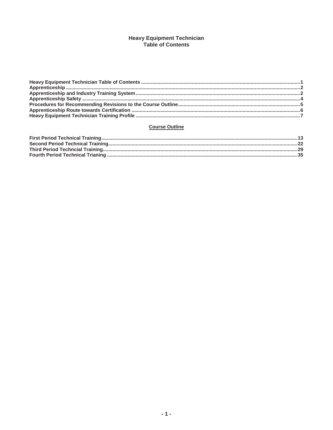# Heavy Equipment Technician<br>Table of Contents

#### **Course Outline**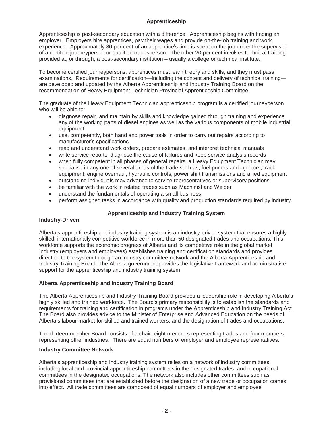# **Apprenticeship**

Apprenticeship is post-secondary education with a difference. Apprenticeship begins with finding an employer. Employers hire apprentices, pay their wages and provide on-the-job training and work experience. Approximately 80 per cent of an apprentice's time is spent on the job under the supervision of a certified journeyperson or qualified tradesperson. The other 20 per cent involves technical training provided at, or through, a post-secondary institution – usually a college or technical institute.

To become certified journeypersons, apprentices must learn theory and skills, and they must pass examinations. Requirements for certification—including the content and delivery of technical training are developed and updated by the Alberta Apprenticeship and Industry Training Board on the recommendation of Heavy Equipment Technician Provincial Apprenticeship Committee.

The graduate of the Heavy Equipment Technician apprenticeship program is a certified journeyperson who will be able to:

- diagnose repair, and maintain by skills and knowledge gained through training and experience any of the working parts of diesel engines as well as the various components of mobile industrial equipment
- use, competently, both hand and power tools in order to carry out repairs according to manufacturer's specifications
- read and understand work orders, prepare estimates, and interpret technical manuals
- write service reports, diagnose the cause of failures and keep service analysis records
- when fully competent in all phases of general repairs, a Heavy Equipment Technician may specialise in any one of several areas of the trade such as, fuel pumps and injectors, track equipment, engine overhaul, hydraulic controls, power shift transmissions and allied equipment
- outstanding individuals may advance to service representatives or supervisory positions
- be familiar with the work in related trades such as Machinist and Welder
- understand the fundamentals of operating a small business.
- perform assigned tasks in accordance with quality and production standards required by industry.

# **Apprenticeship and Industry Training System**

# **Industry-Driven**

Alberta's apprenticeship and industry training system is an industry-driven system that ensures a highly skilled, internationally competitive workforce in more than 50 designated trades and occupations. This workforce supports the economic progress of Alberta and its competitive role in the global market. Industry (employers and employees) establishes training and certification standards and provides direction to the system through an industry committee network and the Alberta Apprenticeship and Industry Training Board. The Alberta government provides the legislative framework and administrative support for the apprenticeship and industry training system.

# **Alberta Apprenticeship and Industry Training Board**

The Alberta Apprenticeship and Industry Training Board provides a leadership role in developing Alberta's highly skilled and trained workforce. The Board's primary responsibility is to establish the standards and requirements for training and certification in programs under the Apprenticeship and Industry Training Act. The Board also provides advice to the Minister of Enterprise and Advanced Education on the needs of Alberta's labour market for skilled and trained workers, and the designation of trades and occupations.

The thirteen-member Board consists of a chair, eight members representing trades and four members representing other industries. There are equal numbers of employer and employee representatives.

# **Industry Committee Network**

Alberta's apprenticeship and industry training system relies on a network of industry committees, including local and provincial apprenticeship committees in the designated trades, and occupational committees in the designated occupations. The network also includes other committees such as provisional committees that are established before the designation of a new trade or occupation comes into effect. All trade committees are composed of equal numbers of employer and employee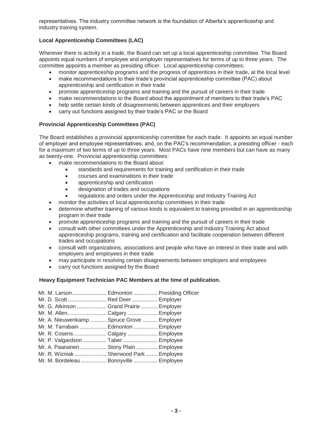representatives. The industry committee network is the foundation of Alberta's apprenticeship and industry training system.

# **Local Apprenticeship Committees (LAC)**

Wherever there is activity in a trade, the Board can set up a local apprenticeship committee. The Board appoints equal numbers of employee and employer representatives for terms of up to three years. The committee appoints a member as presiding officer. Local apprenticeship committees:

- monitor apprenticeship programs and the progress of apprentices in their trade, at the local level
- make recommendations to their trade's provincial apprenticeship committee (PAC) about apprenticeship and certification in their trade
- promote apprenticeship programs and training and the pursuit of careers in their trade
- make recommendations to the Board about the appointment of members to their trade's PAC
- help settle certain kinds of disagreements between apprentices and their employers
- carry out functions assigned by their trade's PAC or the Board

#### **Provincial Apprenticeship Committees (PAC)**

The Board establishes a provincial apprenticeship committee for each trade. It appoints an equal number of employer and employee representatives, and, on the PAC's recommendation, a presiding officer - each for a maximum of two terms of up to three years. Most PACs have nine members but can have as many as twenty-one. Provincial apprenticeship committees:

- make recommendations to the Board about:
	- standards and requirements for training and certification in their trade
	- courses and examinations in their trade
	- apprenticeship and certification
	- designation of trades and occupations
	- regulations and orders under the Apprenticeship and Industry Training Act
- monitor the activities of local apprenticeship committees in their trade
- determine whether training of various kinds is equivalent to training provided in an apprenticeship program in their trade
- x promote apprenticeship programs and training and the pursuit of careers in their trade
- x consult with other committees under the Apprenticeship and Industry Training Act about apprenticeship programs, training and certification and facilitate cooperation between different trades and occupations
- consult with organizations, associations and people who have an interest in their trade and with employers and employees in their trade
- may participate in resolving certain disagreements between employers and employees
- carry out functions assigned by the Board

# **Heavy Equipment Technician PAC Members at the time of publication.**

| Mr. M. Larson Edmonton  Presiding Officer  |  |
|--------------------------------------------|--|
| Mr. D. Scott Red Deer  Employer            |  |
| Mr. G. Atkinson  Grand Prairie  Employer   |  |
| Mr. M. AllenCalgary Employer               |  |
| Mr. A. Nieuwenkamp  Spruce Grove  Employer |  |
| Mr. M. Tarrabain  Edmonton  Employer       |  |
| Mr. R. Cosens Calgary  Employee            |  |
| Mr. P. Valgardson  Taber  Employee         |  |
| Mr. A. Paananen Stony Plain  Employee      |  |
| Mr. R. Wizniak  Sherwood Park  Employee    |  |
| Mr. M. Bordeleau  Bonnyville  Employee     |  |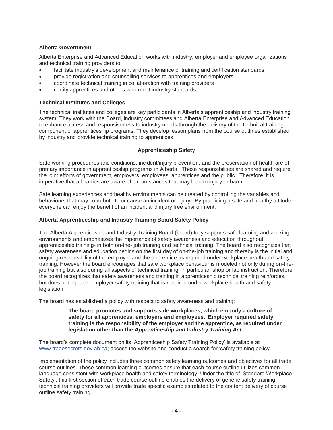# **Alberta Government**

Alberta Enterprise and Advanced Education works with industry, employer and employee organizations and technical training providers to:

- facilitate industry's development and maintenance of training and certification standards
- x provide registration and counselling services to apprentices and employers
- coordinate technical training in collaboration with training providers
- certify apprentices and others who meet industry standards

# **Technical Institutes and Colleges**

The technical institutes and colleges are key participants in Alberta's apprenticeship and industry training system. They work with the Board, industry committees and Alberta Enterprise and Advanced Education to enhance access and responsiveness to industry needs through the delivery of the technical training component of apprenticeship programs. They develop lesson plans from the course outlines established by industry and provide technical training to apprentices.

# **Apprenticeship Safety**

Safe working procedures and conditions, incident/injury prevention, and the preservation of health are of primary importance in apprenticeship programs in Alberta. These responsibilities are shared and require the joint efforts of government, employers, employees, apprentices and the public. Therefore, it is imperative that all parties are aware of circumstances that may lead to injury or harm.

Safe learning experiences and healthy environments can be created by controlling the variables and behaviours that may contribute to or cause an incident or injury. By practicing a safe and healthy attitude, everyone can enjoy the benefit of an incident and injury free environment.

# **Alberta Apprenticeship and Industry Training Board Safety Policy**

The Alberta Apprenticeship and Industry Training Board (board) fully supports safe learning and working environments and emphasizes the importance of safety awareness and education throughout apprenticeship training- in both on-the- job training and technical training. The board also recognizes that safety awareness and education begins on the first day of on-the-job training and thereby is the initial and ongoing responsibility of the employer and the apprentice as required under workplace health and safety training. However the board encourages that safe workplace behaviour is modeled not only during on-thejob training but also during all aspects of technical training, in particular, shop or lab instruction. Therefore the board recognizes that safety awareness and training in apprenticeship technical training reinforces, but does not replace, employer safety training that is required under workplace health and safety legislation.

The board has established a policy with respect to safety awareness and training:

#### **The board promotes and supports safe workplaces, which embody a culture of safety for all apprentices, employers and employees. Employer required safety training is the responsibility of the employer and the apprentice, as required under legislation other than the** *Apprenticeship and Industry Training Act.*

The board's complete document on its 'Apprenticeship Safety Training Policy' is available at www.tradesecrets.gov.ab.ca; access the website and conduct a search for 'safety training policy'.

Implementation of the policy includes three common safety learning outcomes and objectives for all trade course outlines. These common learning outcomes ensure that each course outline utilizes common language consistent with workplace health and safety terminology. Under the title of 'Standard Workplace Safety', this first section of each trade course outline enables the delivery of generic safety training; technical training providers will provide trade specific examples related to the content delivery of course outline safety training.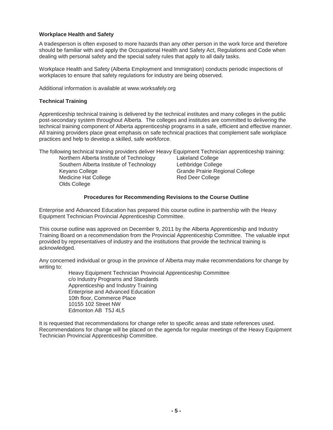#### **Workplace Health and Safety**

A tradesperson is often exposed to more hazards than any other person in the work force and therefore should be familiar with and apply the Occupational Health and Safety Act, Regulations and Code when dealing with personal safety and the special safety rules that apply to all daily tasks.

Workplace Health and Safety (Alberta Employment and Immigration) conducts periodic inspections of workplaces to ensure that safety regulations for industry are being observed.

Additional information is available at www.worksafely.org

#### **Technical Training**

Apprenticeship technical training is delivered by the technical institutes and many colleges in the public post-secondary system throughout Alberta. The colleges and institutes are committed to delivering the technical training component of Alberta apprenticeship programs in a safe, efficient and effective manner. All training providers place great emphasis on safe technical practices that complement safe workplace practices and help to develop a skilled, safe workforce.

The following technical training providers deliver Heavy Equipment Technician apprenticeship training:

| Northern Alberta Institute of Technology |
|------------------------------------------|
| Southern Alberta Institute of Technology |
| Keyano College                           |
| Medicine Hat College                     |
| Olds College                             |

Lakeland College Lethbridge College Grande Prairie Regional College Red Deer College

#### **Procedures for Recommending Revisions to the Course Outline**

Enterprise and Advanced Education has prepared this course outline in partnership with the Heavy Equipment Technician Provincial Apprenticeship Committee.

This course outline was approved on December 9, 2011 by the Alberta Apprenticeship and Industry Training Board on a recommendation from the Provincial Apprenticeship Committee. The valuable input provided by representatives of industry and the institutions that provide the technical training is acknowledged.

Any concerned individual or group in the province of Alberta may make recommendations for change by writing to:

Heavy Equipment Technician Provincial Apprenticeship Committee c/o Industry Programs and Standards Apprenticeship and Industry Training Enterprise and Advanced Education 10th floor, Commerce Place 10155 102 Street NW Edmonton AB T5J 4L5

It is requested that recommendations for change refer to specific areas and state references used. Recommendations for change will be placed on the agenda for regular meetings of the Heavy Equipment Technician Provincial Apprenticeship Committee.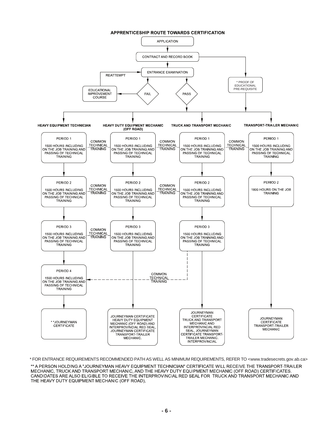

\* FOR ENTRANCE REQUIREMENTS RECOMMENDED PATH AS WELL AS MINIMUM REQUIREMENTS, REFER TO <www.tradesecrets.gov.ab.ca>

\*\* A PERSON HOLDING A "JOURNEYMAN HEAVY EQUIPMENT TECHNICIAN" CERTIFICATE WILL RECEIVE THE TRANSPORT-TRAILER MECHANIC, TRUCK AND TRANSPORT MECHANIC, AND THE HEAVY DUTY EQUIPMENT MECHANIC (OFF ROAD) CERTIFICATES. CANDIDATES ARE ALSO ELIGIBLE TO RECEIVE THE INTERPROVINCIAL RED SEAL FOR TRUCK AND TRANSPORT MECHANIC AND THE HEAVY DUTY EQUIPMENT MECHANIC (OFF ROAD).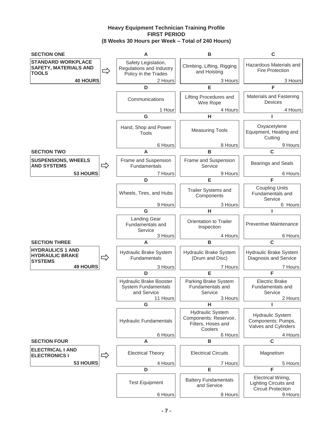# **Heavy Equipment Technician Training Profile FIRST PERIOD (8 Weeks 30 Hours per Week – Total of 240 Hours)**

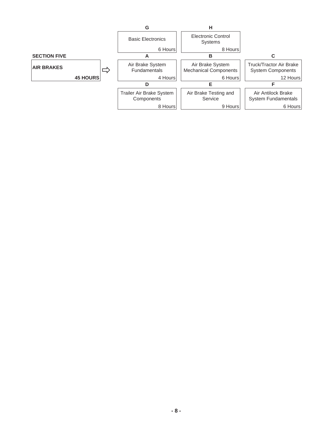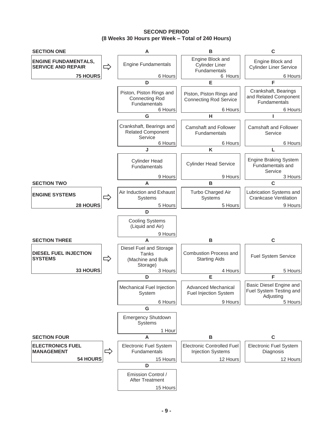**SECOND PERIOD (8 Weeks 30 Hours per Week – Total of 240 Hours)** 

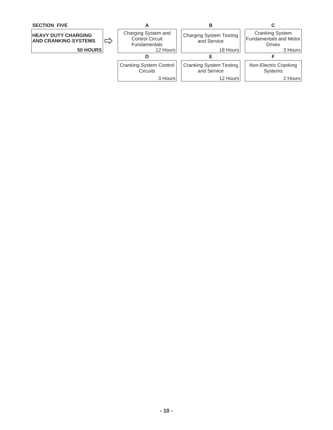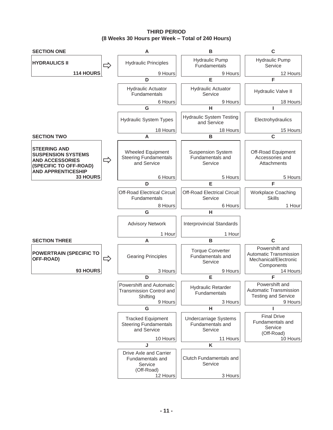**THIRD PERIOD (8 Weeks 30 Hours per Week – Total of 240 Hours)** 

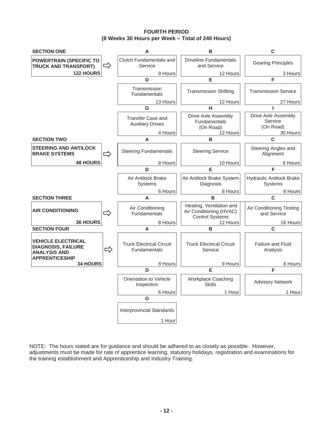**FOURTH PERIOD (8 Weeks 30 Hours per Week – Total of 240 Hours)** 



NOTE: The hours stated are for guidance and should be adhered to as closely as possible. However, adjustments must be made for rate of apprentice learning, statutory holidays, registration and examinations for the training establishment and Apprenticeship and Industry Training.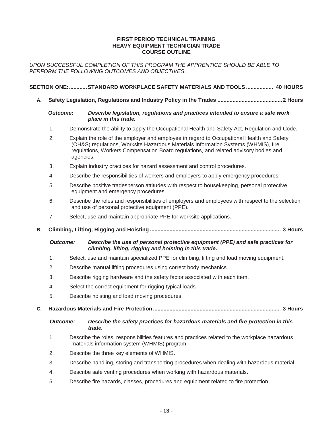#### **FIRST PERIOD TECHNICAL TRAINING HEAVY EQUIPMENT TECHNICIAN TRADE COURSE OUTLINE**

*UPON SUCCESSFUL COMPLETION OF THIS PROGRAM THE APPRENTICE SHOULD BE ABLE TO PERFORM THE FOLLOWING OUTCOMES AND OBJECTIVES*.

#### **SECTION ONE: ............ STANDARD WORKPLACE SAFETY MATERIALS AND TOOLS .................. 40 HOURS**

**A. Safety Legislation, Regulations and Industry Policy in the Trades ...........................................2 Hours** 

#### *Outcome: Describe legislation, regulations and practices intended to ensure a safe work place in this trade.*

- 1. Demonstrate the ability to apply the Occupational Health and Safety Act, Regulation and Code.
- 2. Explain the role of the employer and employee in regard to Occupational Health and Safety (OH&S) regulations, Worksite Hazardous Materials Information Systems (WHMIS), fire regulations, Workers Compensation Board regulations, and related advisory bodies and agencies.
- 3. Explain industry practices for hazard assessment and control procedures.
- 4. Describe the responsibilities of workers and employers to apply emergency procedures.
- 5. Describe positive tradesperson attitudes with respect to housekeeping, personal protective equipment and emergency procedures.
- 6. Describe the roles and responsibilities of employers and employees with respect to the selection and use of personal protective equipment (PPE).
- 7. Select, use and maintain appropriate PPE for worksite applications.
- **B. Climbing, Lifting, Rigging and Hoisting ....................................................................................... 3 Hours**

 *Outcome: Describe the use of personal protective equipment (PPE) and safe practices for climbing, lifting, rigging and hoisting in this trade.* 

- 1. Select, use and maintain specialized PPE for climbing, lifting and load moving equipment.
- 2. Describe manual lifting procedures using correct body mechanics.
- 3. Describe rigging hardware and the safety factor associated with each item.
- 4. Select the correct equipment for rigging typical loads.
- 5. Describe hoisting and load moving procedures.
- **C. Hazardous Materials and Fire Protection ..................................................................................... 3 Hours** 
	- *Outcome: Describe the safety practices for hazardous materials and fire protection in this trade.*
	- 1. Describe the roles, responsibilities features and practices related to the workplace hazardous materials information system (WHMIS) program.
	- 2. Describe the three key elements of WHMIS.
	- 3. Describe handling, storing and transporting procedures when dealing with hazardous material.
	- 4. Describe safe venting procedures when working with hazardous materials.
	- 5. Describe fire hazards, classes, procedures and equipment related to fire protection.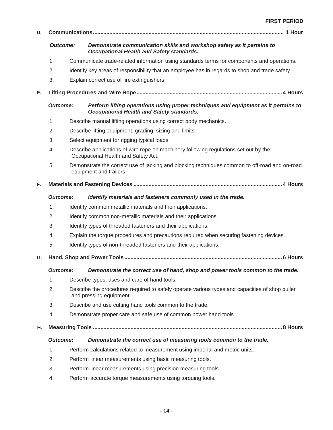| D. |                                                                                               |  |                                                                                                                                 |  |  |
|----|-----------------------------------------------------------------------------------------------|--|---------------------------------------------------------------------------------------------------------------------------------|--|--|
|    | <b>Outcome:</b>                                                                               |  | Demonstrate communication skills and workshop safety as it pertains to<br>Occupational Health and Safety standards.             |  |  |
|    | 1.                                                                                            |  | Communicate trade-related information using standards terms for components and operations.                                      |  |  |
|    | 2.                                                                                            |  | Identify key areas of responsibility that an employee has in regards to shop and trade safety.                                  |  |  |
|    | 3.                                                                                            |  | Explain correct use of fire extinguishers.                                                                                      |  |  |
| Е. |                                                                                               |  |                                                                                                                                 |  |  |
|    | <b>Outcome:</b>                                                                               |  | Perform lifting operations using proper techniques and equipment as it pertains to<br>Occupational Health and Safety standards. |  |  |
|    | 1.                                                                                            |  | Describe manual lifting operations using correct body mechanics.                                                                |  |  |
|    | 2.                                                                                            |  | Describe lifting equipment, grading, sizing and limits.                                                                         |  |  |
|    | 3.                                                                                            |  | Select equipment for rigging typical loads.                                                                                     |  |  |
|    | 4.                                                                                            |  | Describe applications of wire rope on machinery following regulations set out by the<br>Occupational Health and Safety Act.     |  |  |
|    | 5.                                                                                            |  | Demonstrate the correct use of jacking and blocking techniques common to off-road and on-road<br>equipment and trailers.        |  |  |
| F. |                                                                                               |  |                                                                                                                                 |  |  |
|    | <b>Outcome:</b>                                                                               |  | Identify materials and fasteners commonly used in the trade.                                                                    |  |  |
|    | 1.                                                                                            |  | Identify common metallic materials and their applications.                                                                      |  |  |
|    | 2.                                                                                            |  | Identify common non-metallic materials and their applications.                                                                  |  |  |
|    | 3.                                                                                            |  | Identify types of threaded fasteners and their applications.                                                                    |  |  |
|    | Explain the torque procedures and precautions required when securing fastening devices.<br>4. |  |                                                                                                                                 |  |  |
|    | 5.                                                                                            |  | Identify types of non-threaded fasteners and their applications.                                                                |  |  |
| G. |                                                                                               |  |                                                                                                                                 |  |  |
|    |                                                                                               |  | Outcome: Demonstrate the correct use of hand, shop and power tools common to the trade.                                         |  |  |
|    | 1.                                                                                            |  | Describe types, uses and care of hand tools.                                                                                    |  |  |
|    | 2.                                                                                            |  | Describe the procedures required to safely operate various types and capacities of shop puller<br>and pressing equipment.       |  |  |
|    | 3.                                                                                            |  | Describe and use cutting hand tools common to the trade.                                                                        |  |  |
|    | 4.                                                                                            |  | Demonstrate proper care and safe use of common power hand tools.                                                                |  |  |
| н. |                                                                                               |  |                                                                                                                                 |  |  |
|    | Outcome:                                                                                      |  | Demonstrate the correct use of measuring tools common to the trade.                                                             |  |  |
|    | $\mathbf{1}$ .                                                                                |  | Perform calculations related to measurement using imperial and metric units.                                                    |  |  |
|    | 2.                                                                                            |  | Perform linear measurements using basic measuring tools.                                                                        |  |  |
|    | 3.                                                                                            |  | Perform linear measurements using precision measuring tools.                                                                    |  |  |
|    | 4.                                                                                            |  | Perform accurate torque measurements using torquing tools.                                                                      |  |  |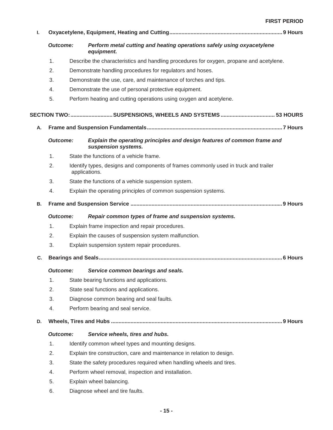| L.        |                 |                                                                        |                                                                                                      |  |  |  |
|-----------|-----------------|------------------------------------------------------------------------|------------------------------------------------------------------------------------------------------|--|--|--|
|           | <b>Outcome:</b> |                                                                        | Perform metal cutting and heating operations safely using oxyacetylene<br>equipment.                 |  |  |  |
|           | 1.              |                                                                        | Describe the characteristics and handling procedures for oxygen, propane and acetylene.              |  |  |  |
|           | 2.              |                                                                        | Demonstrate handling procedures for regulators and hoses.                                            |  |  |  |
|           | 3.              |                                                                        | Demonstrate the use, care, and maintenance of torches and tips.                                      |  |  |  |
|           | 4.              |                                                                        | Demonstrate the use of personal protective equipment.                                                |  |  |  |
|           | 5.              |                                                                        | Perform heating and cutting operations using oxygen and acetylene.                                   |  |  |  |
|           |                 |                                                                        | SECTION TWO: SUSPENSIONS, WHEELS AND SYSTEMS  53 HOURS                                               |  |  |  |
| А.        |                 |                                                                        |                                                                                                      |  |  |  |
|           | <b>Outcome:</b> |                                                                        | Explain the operating principles and design features of common frame and<br>suspension systems.      |  |  |  |
|           | 1.              |                                                                        | State the functions of a vehicle frame.                                                              |  |  |  |
|           | 2.              |                                                                        | Identify types, designs and components of frames commonly used in truck and trailer<br>applications. |  |  |  |
|           | 3.              |                                                                        | State the functions of a vehicle suspension system.                                                  |  |  |  |
|           | 4.              |                                                                        | Explain the operating principles of common suspension systems.                                       |  |  |  |
| <b>B.</b> |                 |                                                                        |                                                                                                      |  |  |  |
|           | <b>Outcome:</b> |                                                                        | Repair common types of frame and suspension systems.                                                 |  |  |  |
|           | 1.              | Explain frame inspection and repair procedures.                        |                                                                                                      |  |  |  |
|           | 2.              |                                                                        | Explain the causes of suspension system malfunction.                                                 |  |  |  |
|           | 3.              |                                                                        | Explain suspension system repair procedures.                                                         |  |  |  |
| C.        |                 |                                                                        |                                                                                                      |  |  |  |
|           | <b>Outcome:</b> |                                                                        | Service common bearings and seals.                                                                   |  |  |  |
|           | 1.              |                                                                        | State bearing functions and applications.                                                            |  |  |  |
|           | 2.              |                                                                        | State seal functions and applications.                                                               |  |  |  |
|           | 3.              |                                                                        | Diagnose common bearing and seal faults.                                                             |  |  |  |
|           | 4.              |                                                                        | Perform bearing and seal service.                                                                    |  |  |  |
| D.        |                 |                                                                        |                                                                                                      |  |  |  |
|           | <b>Outcome:</b> |                                                                        | Service wheels, tires and hubs.                                                                      |  |  |  |
|           | 1.              |                                                                        | Identify common wheel types and mounting designs.                                                    |  |  |  |
|           | 2.              | Explain tire construction, care and maintenance in relation to design. |                                                                                                      |  |  |  |
|           | 3.              |                                                                        | State the safety procedures required when handling wheels and tires.                                 |  |  |  |
|           | 4.              |                                                                        | Perform wheel removal, inspection and installation.                                                  |  |  |  |
|           | 5.              |                                                                        | Explain wheel balancing.                                                                             |  |  |  |
|           | 6.              |                                                                        | Diagnose wheel and tire faults.                                                                      |  |  |  |
|           |                 |                                                                        |                                                                                                      |  |  |  |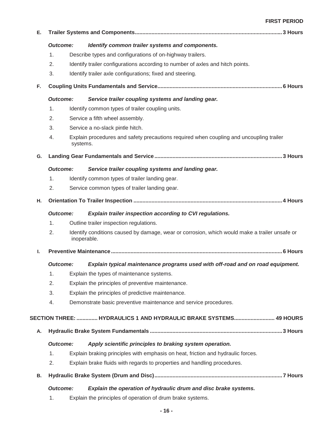| Е. |                                                            |             |                                                                                               |
|----|------------------------------------------------------------|-------------|-----------------------------------------------------------------------------------------------|
|    | <b>Outcome:</b>                                            |             | Identify common trailer systems and components.                                               |
|    | 1.                                                         |             | Describe types and configurations of on-highway trailers.                                     |
|    | 2.                                                         |             | Identify trailer configurations according to number of axles and hitch points.                |
|    | 3.                                                         |             | Identify trailer axle configurations; fixed and steering.                                     |
| F. |                                                            |             |                                                                                               |
|    | <b>Outcome:</b>                                            |             | Service trailer coupling systems and landing gear.                                            |
|    | 1.                                                         |             | Identify common types of trailer coupling units.                                              |
|    | 2.                                                         |             | Service a fifth wheel assembly.                                                               |
|    | 3.                                                         |             | Service a no-slack pintle hitch.                                                              |
|    | 4.                                                         | systems.    | Explain procedures and safety precautions required when coupling and uncoupling trailer       |
| G. |                                                            |             |                                                                                               |
|    | <b>Outcome:</b>                                            |             | Service trailer coupling systems and landing gear.                                            |
|    | 1.                                                         |             | Identify common types of trailer landing gear.                                                |
|    | 2.                                                         |             | Service common types of trailer landing gear.                                                 |
| н. |                                                            |             |                                                                                               |
|    | <b>Outcome:</b>                                            |             | Explain trailer inspection according to CVI regulations.                                      |
| 1. |                                                            |             | Outline trailer inspection regulations.                                                       |
|    | 2.                                                         | inoperable. | Identify conditions caused by damage, wear or corrosion, which would make a trailer unsafe or |
| ı. |                                                            |             |                                                                                               |
|    | <b>Outcome:</b>                                            |             | Explain typical maintenance programs used with off-road and on road equipment.                |
|    | 1.                                                         |             | Explain the types of maintenance systems.                                                     |
|    | 2.                                                         |             | Explain the principles of preventive maintenance.                                             |
|    | 3.                                                         |             | Explain the principles of predictive maintenance.                                             |
|    | 4.                                                         |             | Demonstrate basic preventive maintenance and service procedures.                              |
|    |                                                            |             | SECTION THREE:  HYDRAULICS 1 AND HYDRAULIC BRAKE SYSTEMS 49 HOURS                             |
| А. |                                                            |             |                                                                                               |
|    | <b>Outcome:</b>                                            |             | Apply scientific principles to braking system operation.                                      |
|    | 1.                                                         |             | Explain braking principles with emphasis on heat, friction and hydraulic forces.              |
|    | 2.                                                         |             | Explain brake fluids with regards to properties and handling procedures.                      |
| В. |                                                            |             |                                                                                               |
|    | <b>Outcome:</b>                                            |             | Explain the operation of hydraulic drum and disc brake systems.                               |
|    | Evalois the principles of execution of drump broke ovatome |             |                                                                                               |

1. Explain the principles of operation of drum brake systems.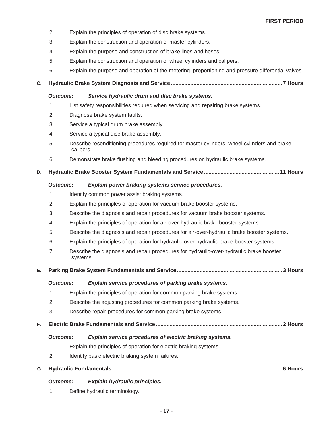- 2. Explain the principles of operation of disc brake systems.
- 3. Explain the construction and operation of master cylinders.
- 4. Explain the purpose and construction of brake lines and hoses.
- 5. Explain the construction and operation of wheel cylinders and calipers.
- 6. Explain the purpose and operation of the metering, proportioning and pressure differential valves.

**C. Hydraulic Brake System Diagnosis and Service .......................................................................... 7 Hours** 

#### *Outcome: Service hydraulic drum and disc brake systems.*

- 1. List safety responsibilities required when servicing and repairing brake systems.
- 2. Diagnose brake system faults.
- 3. Service a typical drum brake assembly.
- 4. Service a typical disc brake assembly.
- 5. Describe reconditioning procedures required for master cylinders, wheel cylinders and brake calipers.
- 6. Demonstrate brake flushing and bleeding procedures on hydraulic brake systems.

# **D. Hydraulic Brake Booster System Fundamentals and Service .................................................. 11 Hours**

#### *Outcome: Explain power braking systems service procedures.*

- 1. Identify common power assist braking systems.
- 2. Explain the principles of operation for vacuum brake booster systems.
- 3. Describe the diagnosis and repair procedures for vacuum brake booster systems.
- 4. Explain the principles of operation for air-over-hydraulic brake booster systems.
- 5. Describe the diagnosis and repair procedures for air-over-hydraulic brake booster systems.
- 6. Explain the principles of operation for hydraulic-over-hydraulic brake booster systems.
- 7. Describe the diagnosis and repair procedures for hydraulic-over-hydraulic brake booster systems.

# **E. Parking Brake System Fundamentals and Service ...................................................................... 3 Hours**

#### *Outcome: Explain service procedures of parking brake systems.*

- 1. Explain the principles of operation for common parking brake systems.
- 2. Describe the adjusting procedures for common parking brake systems.
- 3. Describe repair procedures for common parking brake systems.
- **F. Electric Brake Fundamentals and Service .................................................................................... 2 Hours**

#### *Outcome: Explain service procedures of electric braking systems.*

- 1. Explain the principles of operation for electric braking systems.
- 2. Identify basic electric braking system failures.
- **G. Hydraulic Fundamentals ................................................................................................................. 6 Hours**

#### *Outcome: Explain hydraulic principles.*

1. Define hydraulic terminology.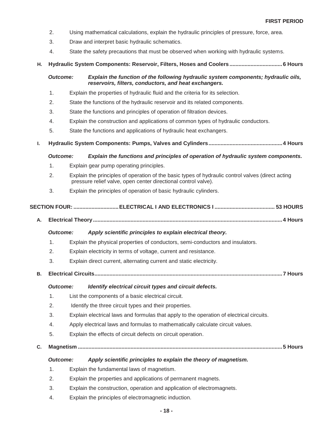- 2. Using mathematical calculations, explain the hydraulic principles of pressure, force, area.
- 3. Draw and interpret basic hydraulic schematics.
- 4. State the safety precautions that must be observed when working with hydraulic systems.
- **H. Hydraulic System Components: Reservoir, Filters, Hoses and Coolers ................................... 6 Hours**

# *Outcome: Explain the function of the following hydraulic system components; hydraulic oils, reservoirs, filters, conductors, and heat exchangers.*

- 1. Explain the properties of hydraulic fluid and the criteria for its selection.
- 2. State the functions of the hydraulic reservoir and its related components.
- 3. State the functions and principles of operation of filtration devices.
- 4. Explain the construction and applications of common types of hydraulic conductors.
- 5. State the functions and applications of hydraulic heat exchangers.
- **I. Hydraulic System Components: Pumps, Valves and Cylinders ................................................. 4 Hours**

#### *Outcome: Explain the functions and principles of operation of hydraulic system components.*

- 1. Explain gear pump operating principles.
- 2. Explain the principles of operation of the basic types of hydraulic control valves (direct acting pressure relief valve, open center directional control valve).
- 3. Explain the principles of operation of basic hydraulic cylinders.

# **SECTION FOUR: .............................. ELECTRICAL I AND ELECTRONICS I ........................................ 53 HOURS**

**A. Electrical Theory .............................................................................................................................. 4 Hours** 

#### *Outcome: Apply scientific principles to explain electrical theory.*

- 1. Explain the physical properties of conductors, semi-conductors and insulators.
- 2. Explain electricity in terms of voltage, current and resistance.
- 3. Explain direct current, alternating current and static electricity.
- **B. Electrical Circuits ............................................................................................................................. 7 Hours**

#### *Outcome: Identify electrical circuit types and circuit defects.*

- 1. List the components of a basic electrical circuit.
- 2. Identify the three circuit types and their properties.
- 3. Explain electrical laws and formulas that apply to the operation of electrical circuits.
- 4. Apply electrical laws and formulas to mathematically calculate circuit values.
- 5. Explain the effects of circuit defects on circuit operation.
- **C. Magnetism ........................................................................................................................................ 5 Hours**

#### *Outcome: Apply scientific principles to explain the theory of magnetism.*

- 1. Explain the fundamental laws of magnetism.
- 2. Explain the properties and applications of permanent magnets.
- 3. Explain the construction, operation and application of electromagnets.
- 4. Explain the principles of electromagnetic induction.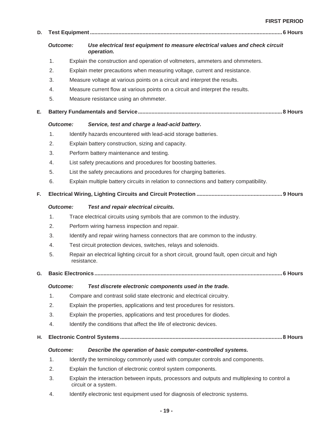| D. |                 |  |                                                                                                                      |  |  |
|----|-----------------|--|----------------------------------------------------------------------------------------------------------------------|--|--|
|    | <b>Outcome:</b> |  | Use electrical test equipment to measure electrical values and check circuit<br>operation.                           |  |  |
|    | 1.              |  | Explain the construction and operation of voltmeters, ammeters and ohmmeters.                                        |  |  |
|    | 2.              |  | Explain meter precautions when measuring voltage, current and resistance.                                            |  |  |
|    | 3.              |  | Measure voltage at various points on a circuit and interpret the results.                                            |  |  |
|    | 4.              |  | Measure current flow at various points on a circuit and interpret the results.                                       |  |  |
|    | 5.              |  | Measure resistance using an ohmmeter.                                                                                |  |  |
| Е. |                 |  |                                                                                                                      |  |  |
|    | <b>Outcome:</b> |  | Service, test and charge a lead-acid battery.                                                                        |  |  |
|    | 1.              |  | Identify hazards encountered with lead-acid storage batteries.                                                       |  |  |
|    | 2.              |  | Explain battery construction, sizing and capacity.                                                                   |  |  |
|    | 3.              |  | Perform battery maintenance and testing.                                                                             |  |  |
|    | 4.              |  | List safety precautions and procedures for boosting batteries.                                                       |  |  |
|    | 5.              |  | List the safety precautions and procedures for charging batteries.                                                   |  |  |
|    | 6.              |  | Explain multiple battery circuits in relation to connections and battery compatibility.                              |  |  |
| F. |                 |  |                                                                                                                      |  |  |
|    | <b>Outcome:</b> |  | <b>Test and repair electrical circuits.</b>                                                                          |  |  |
|    | 1.              |  | Trace electrical circuits using symbols that are common to the industry.                                             |  |  |
|    | 2.              |  | Perform wiring harness inspection and repair.                                                                        |  |  |
|    | 3.              |  | Identify and repair wiring harness connectors that are common to the industry.                                       |  |  |
|    | 4.              |  | Test circuit protection devices, switches, relays and solenoids.                                                     |  |  |
|    | 5.              |  | Repair an electrical lighting circuit for a short circuit, ground fault, open circuit and high<br>resistance.        |  |  |
| G. |                 |  |                                                                                                                      |  |  |
|    |                 |  |                                                                                                                      |  |  |
|    | <b>Outcome:</b> |  | Test discrete electronic components used in the trade.                                                               |  |  |
|    | 1.              |  | Compare and contrast solid state electronic and electrical circuitry.                                                |  |  |
|    | 2.              |  | Explain the properties, applications and test procedures for resistors.                                              |  |  |
|    | 3.              |  | Explain the properties, applications and test procedures for diodes.                                                 |  |  |
|    | 4.              |  | Identify the conditions that affect the life of electronic devices.                                                  |  |  |
| н. |                 |  |                                                                                                                      |  |  |
|    | <b>Outcome:</b> |  | Describe the operation of basic computer-controlled systems.                                                         |  |  |
|    | 1.              |  | Identify the terminology commonly used with computer controls and components.                                        |  |  |
|    | 2.              |  | Explain the function of electronic control system components.                                                        |  |  |
|    | 3.              |  | Explain the interaction between inputs, processors and outputs and multiplexing to control a<br>circuit or a system. |  |  |
|    | 4.              |  | Identify electronic test equipment used for diagnosis of electronic systems.                                         |  |  |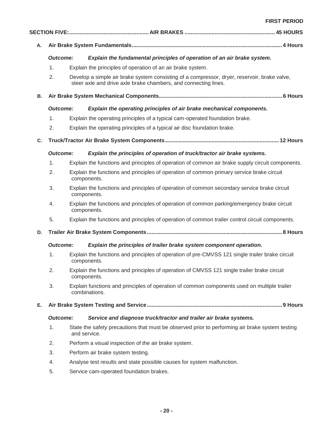| Α.        |                 |                                                                                                                                                                 |  |
|-----------|-----------------|-----------------------------------------------------------------------------------------------------------------------------------------------------------------|--|
|           | <b>Outcome:</b> | Explain the fundamental principles of operation of an air brake system.                                                                                         |  |
|           | 1.              | Explain the principles of operation of an air brake system.                                                                                                     |  |
|           | 2.              | Develop a simple air brake system consisting of a compressor, dryer, reservoir, brake valve,<br>steer axle and drive axle brake chambers, and connecting lines. |  |
| <b>B.</b> |                 |                                                                                                                                                                 |  |
|           | <b>Outcome:</b> | Explain the operating principles of air brake mechanical components.                                                                                            |  |
|           | 1.              | Explain the operating principles of a typical cam-operated foundation brake.                                                                                    |  |
|           | 2.              | Explain the operating principles of a typical air disc foundation brake.                                                                                        |  |
| C.        |                 |                                                                                                                                                                 |  |
|           | <b>Outcome:</b> | Explain the principles of operation of truck/tractor air brake systems.                                                                                         |  |
|           | 1.              | Explain the functions and principles of operation of common air brake supply circuit components.                                                                |  |
|           | 2.              | Explain the functions and principles of operation of common primary service brake circuit<br>components.                                                        |  |
|           | 3.              | Explain the functions and principles of operation of common secondary service brake circuit<br>components.                                                      |  |
|           | 4.              | Explain the functions and principles of operation of common parking/emergency brake circuit<br>components.                                                      |  |
|           | 5.              | Explain the functions and principles of operation of common trailer control circuit components.                                                                 |  |
| D.        |                 |                                                                                                                                                                 |  |
|           | <b>Outcome:</b> | Explain the principles of trailer brake system component operation.                                                                                             |  |
|           | 1.              | Explain the functions and principles of operation of pre-CMVSS 121 single trailer brake circuit<br>components.                                                  |  |
|           | 2.              | Explain the functions and principles of operation of CMVSS 121 single trailer brake circuit<br>components.                                                      |  |
|           | 3.              | Explain functions and principles of operation of common components used on multiple trailer<br>combinations.                                                    |  |
| Е.        |                 |                                                                                                                                                                 |  |
|           | <b>Outcome:</b> | Service and diagnose truck/tractor and trailer air brake systems.                                                                                               |  |
|           | 1.              | State the safety precautions that must be observed prior to performing air brake system testing<br>and service.                                                 |  |
|           | 2.              | Perform a visual inspection of the air brake system.                                                                                                            |  |
|           | 3.              | Perform air brake system testing.                                                                                                                               |  |
|           | 4.              | Analyse test results and state possible causes for system malfunction.                                                                                          |  |
|           | 5.              | Service cam-operated foundation brakes.                                                                                                                         |  |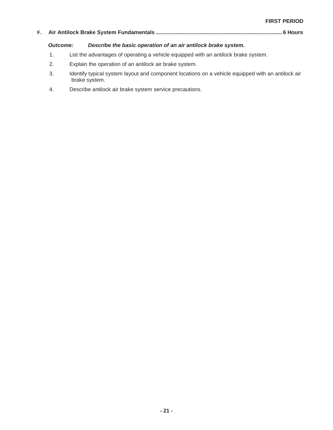# **F. Air Antilock Brake System Fundamentals .................................................................................... 6 Hours**

# *Outcome: Describe the basic operation of an air antilock brake system.*

- 1. List the advantages of operating a vehicle equipped with an antilock brake system.
- 2. Explain the operation of an antilock air brake system.
- 3. Identify typical system layout and component locations on a vehicle equipped with an antilock air brake system.
- 4. Describe antilock air brake system service precautions.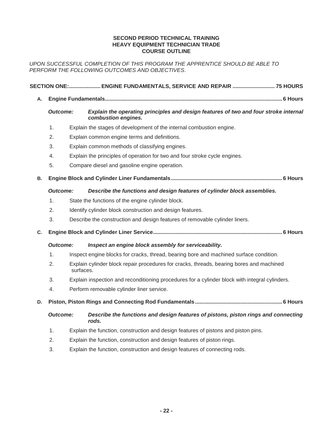#### **SECOND PERIOD TECHNICAL TRAINING HEAVY EQUIPMENT TECHNICIAN TRADE COURSE OUTLINE**

*UPON SUCCESSFUL COMPLETION OF THIS PROGRAM THE APPRENTICE SHOULD BE ABLE TO PERFORM THE FOLLOWING OUTCOMES AND OBJECTIVES*.

|    |                 |           | SECTION ONE: ENGINE FUNDAMENTALS, SERVICE AND REPAIR  75 HOURS                                              |
|----|-----------------|-----------|-------------------------------------------------------------------------------------------------------------|
| А. |                 |           |                                                                                                             |
|    | <b>Outcome:</b> |           | Explain the operating principles and design features of two and four stroke internal<br>combustion engines. |
|    | 1.              |           | Explain the stages of development of the internal combustion engine.                                        |
|    | 2.              |           | Explain common engine terms and definitions.                                                                |
|    | 3.              |           | Explain common methods of classifying engines.                                                              |
|    | 4.              |           | Explain the principles of operation for two and four stroke cycle engines.                                  |
|    | 5.              |           | Compare diesel and gasoline engine operation.                                                               |
| В. |                 |           |                                                                                                             |
|    | <b>Outcome:</b> |           | Describe the functions and design features of cylinder block assemblies.                                    |
|    | 1.              |           | State the functions of the engine cylinder block.                                                           |
|    | 2.              |           | Identify cylinder block construction and design features.                                                   |
|    | 3.              |           | Describe the construction and design features of removable cylinder liners.                                 |
| C. |                 |           |                                                                                                             |
|    | Outcome:        |           | Inspect an engine block assembly for serviceability.                                                        |
|    | 1.              |           | Inspect engine blocks for cracks, thread, bearing bore and machined surface condition.                      |
|    | 2.              | surfaces. | Explain cylinder block repair procedures for cracks, threads, bearing bores and machined                    |
|    | 3.              |           | Explain inspection and reconditioning procedures for a cylinder block with integral cylinders.              |
|    | 4.              |           | Perform removable cylinder liner service.                                                                   |
| D. |                 |           |                                                                                                             |
|    | <b>Outcome:</b> |           | Describe the functions and design features of pistons, piston rings and connecting<br>rods.                 |
|    | 1.              |           | Explain the function, construction and design features of pistons and piston pins.                          |
|    | 2.              |           | Explain the function, construction and design features of piston rings.                                     |
|    | 3.              |           | Explain the function, construction and design features of connecting rods.                                  |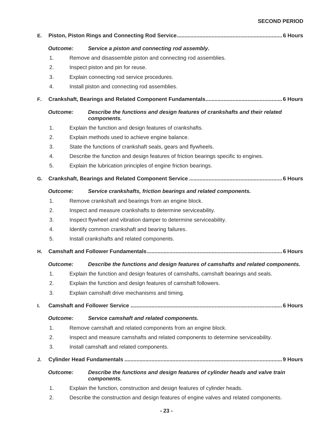# **SECOND PERIOD**

| Е. |                 |  |                                                                                             |  |
|----|-----------------|--|---------------------------------------------------------------------------------------------|--|
|    | <b>Outcome:</b> |  | Service a piston and connecting rod assembly.                                               |  |
|    | 1.              |  | Remove and disassemble piston and connecting rod assemblies.                                |  |
|    | 2.              |  | Inspect piston and pin for reuse.                                                           |  |
|    | 3.              |  | Explain connecting rod service procedures.                                                  |  |
|    | 4.              |  | Install piston and connecting rod assemblies.                                               |  |
| F. |                 |  |                                                                                             |  |
|    | <b>Outcome:</b> |  | Describe the functions and design features of crankshafts and their related<br>components.  |  |
|    | $\mathbf{1}$ .  |  | Explain the function and design features of crankshafts.                                    |  |
|    | 2.              |  | Explain methods used to achieve engine balance.                                             |  |
|    | 3.              |  | State the functions of crankshaft seals, gears and flywheels.                               |  |
|    | 4.              |  | Describe the function and design features of friction bearings specific to engines.         |  |
|    | 5.              |  | Explain the lubrication principles of engine friction bearings.                             |  |
| G. |                 |  |                                                                                             |  |
|    | <b>Outcome:</b> |  | Service crankshafts, friction bearings and related components.                              |  |
|    | $\mathbf{1}$ .  |  | Remove crankshaft and bearings from an engine block.                                        |  |
|    | 2.              |  | Inspect and measure crankshafts to determine serviceability.                                |  |
|    | 3.              |  | Inspect flywheel and vibration damper to determine serviceability.                          |  |
|    | 4.              |  | Identify common crankshaft and bearing failures.                                            |  |
|    | 5.              |  | Install crankshafts and related components.                                                 |  |
| Η. |                 |  |                                                                                             |  |
|    | Outcome:        |  | Describe the functions and design features of camshafts and related components.             |  |
|    | 1.              |  | Explain the function and design features of camshafts, camshaft bearings and seals.         |  |
|    | 2.              |  | Explain the function and design features of camshaft followers.                             |  |
|    | 3.              |  | Explain camshaft drive mechanisms and timing.                                               |  |
| ı. |                 |  |                                                                                             |  |
|    | <b>Outcome:</b> |  | Service camshaft and related components.                                                    |  |
|    | 1.              |  | Remove camshaft and related components from an engine block.                                |  |
|    | 2.              |  | Inspect and measure camshafts and related components to determine serviceability.           |  |
|    | 3.              |  | Install camshaft and related components.                                                    |  |
| J. |                 |  |                                                                                             |  |
|    | <b>Outcome:</b> |  | Describe the functions and design features of cylinder heads and valve train<br>components. |  |
|    | 1.              |  | Explain the function, construction and design features of cylinder heads.                   |  |
|    | 2.              |  | Describe the construction and design features of engine valves and related components.      |  |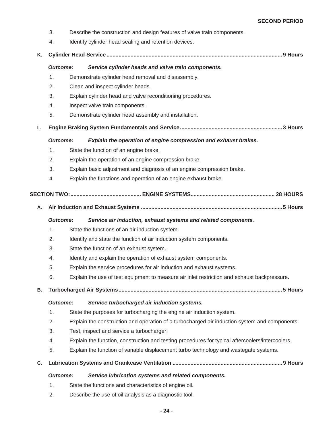- 3. Describe the construction and design features of valve train components.
- 4. Identify cylinder head sealing and retention devices.
- **K. Cylinder Head Service ..................................................................................................................... 9 Hours**

| <b>Outcome:</b> | Service cylinder heads and valve train components. |  |  |
|-----------------|----------------------------------------------------|--|--|
|                 |                                                    |  |  |

- 1. Demonstrate cylinder head removal and disassembly.
- 2. Clean and inspect cylinder heads.
- 3. Explain cylinder head and valve reconditioning procedures.
- 4. Inspect valve train components.
- 5. Demonstrate cylinder head assembly and installation.
- **L. Engine Braking System Fundamentals and Service .................................................................... 3 Hours**

*Outcome: Explain the operation of engine compression and exhaust brakes.* 

- 1. State the function of an engine brake.
- 2. Explain the operation of an engine compression brake.
- 3. Explain basic adjustment and diagnosis of an engine compression brake.
- 4. Explain the functions and operation of an engine exhaust brake.

# **SECTION TWO:............................................... ENGINE SYSTEMS........................................................ 28 HOURS**

**A. Air Induction and Exhaust Systems .............................................................................................. 5 Hours** 

# *Outcome: Service air induction, exhaust systems and related components.*

- 1. State the functions of an air induction system.
- 2. Identify and state the function of air induction system components.
- 3. State the function of an exhaust system.
- 4. Identify and explain the operation of exhaust system components.
- 5. Explain the service procedures for air induction and exhaust systems.
- 6. Explain the use of test equipment to measure air inlet restriction and exhaust backpressure.
- **B. Turbocharged Air Systems ............................................................................................................. 5 Hours**

# *Outcome: Service turbocharged air induction systems.*

- 1. State the purposes for turbocharging the engine air induction system.
- 2. Explain the construction and operation of a turbocharged air induction system and components.
- 3. Test, inspect and service a turbocharger.
- 4. Explain the function, construction and testing procedures for typical aftercoolers/intercoolers.
- 5. Explain the function of variable displacement turbo technology and wastegate systems.
- **C. Lubrication Systems and Crankcase Ventilation ......................................................................... 9 Hours**

# *Outcome: Service lubrication systems and related components.*

- 1. State the functions and characteristics of engine oil.
- 2. Describe the use of oil analysis as a diagnostic tool.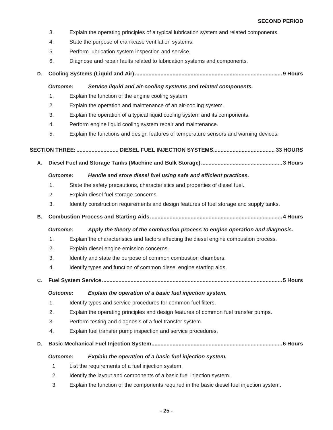- 3. Explain the operating principles of a typical lubrication system and related components.
- 4. State the purpose of crankcase ventilation systems.
- 5. Perform lubrication system inspection and service.
- 6. Diagnose and repair faults related to lubrication systems and components.
- **D. Cooling Systems (Liquid and Air) .................................................................................................. 9 Hours**

#### *Outcome: Service liquid and air-cooling systems and related components.*

- 1. Explain the function of the engine cooling system.
- 2. Explain the operation and maintenance of an air-cooling system.
- 3. Explain the operation of a typical liquid cooling system and its components.
- 4. Perform engine liquid cooling system repair and maintenance.
- 5. Explain the functions and design features of temperature sensors and warning devices.

```
 SECTION THREE: ............................ DIESEL FUEL INJECTION SYSTEMS ......................................... 33 HOURS
```
**A. Diesel Fuel and Storage Tanks (Machine and Bulk Storage) ...................................................... 3 Hours** 

#### *Outcome: Handle and store diesel fuel using safe and efficient practices.*

- 1. State the safety precautions, characteristics and properties of diesel fuel.
- 2. Explain diesel fuel storage concerns.
- 3. Identify construction requirements and design features of fuel storage and supply tanks.
- **B. Combustion Process and Starting Aids ........................................................................................ 4 Hours**

#### *Outcome: Apply the theory of the combustion process to engine operation and diagnosis.*

- 1. Explain the characteristics and factors affecting the diesel engine combustion process.
- 2. Explain diesel engine emission concerns.
- 3. Identify and state the purpose of common combustion chambers.
- 4. Identify types and function of common diesel engine starting aids.
- **C. Fuel System Service ........................................................................................................................ 5 Hours**

*Outcome: Explain the operation of a basic fuel injection system.* 

- 1. Identify types and service procedures for common fuel filters.
- 2. Explain the operating principles and design features of common fuel transfer pumps.
- 3. Perform testing and diagnosis of a fuel transfer system.
- 4. Explain fuel transfer pump inspection and service procedures.
- **D. Basic Mechanical Fuel Injection System ....................................................................................... 6 Hours**

#### *Outcome: Explain the operation of a basic fuel injection system.*

- 1. List the requirements of a fuel injection system.
- 2. Identify the layout and components of a basic fuel injection system.
- 3. Explain the function of the components required in the basic diesel fuel injection system.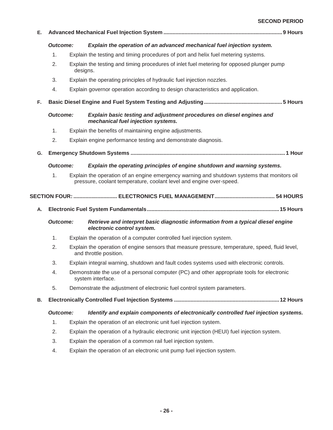#### **SECOND PERIOD**

| Е. |                 |          |                                                                                                                                                                    |  |
|----|-----------------|----------|--------------------------------------------------------------------------------------------------------------------------------------------------------------------|--|
|    | <b>Outcome:</b> |          | Explain the operation of an advanced mechanical fuel injection system.                                                                                             |  |
|    | 1.              |          | Explain the testing and timing procedures of port and helix fuel metering systems.                                                                                 |  |
|    | 2.              | designs. | Explain the testing and timing procedures of inlet fuel metering for opposed plunger pump                                                                          |  |
|    | 3.              |          | Explain the operating principles of hydraulic fuel injection nozzles.                                                                                              |  |
|    | 4.              |          | Explain governor operation according to design characteristics and application.                                                                                    |  |
| F. |                 |          |                                                                                                                                                                    |  |
|    | <b>Outcome:</b> |          | Explain basic testing and adjustment procedures on diesel engines and<br>mechanical fuel injection systems.                                                        |  |
|    | 1.              |          | Explain the benefits of maintaining engine adjustments.                                                                                                            |  |
|    | 2.              |          | Explain engine performance testing and demonstrate diagnosis.                                                                                                      |  |
| G. |                 |          |                                                                                                                                                                    |  |
|    | <b>Outcome:</b> |          | Explain the operating principles of engine shutdown and warning systems.                                                                                           |  |
|    | 1.              |          | Explain the operation of an engine emergency warning and shutdown systems that monitors oil<br>pressure, coolant temperature, coolant level and engine over-speed. |  |
|    |                 |          |                                                                                                                                                                    |  |
| Α. |                 |          |                                                                                                                                                                    |  |
|    | <b>Outcome:</b> |          | Retrieve and interpret basic diagnostic information from a typical diesel engine<br>electronic control system.                                                     |  |
|    | 1.              |          | Explain the operation of a computer controlled fuel injection system.                                                                                              |  |
|    | 2.              |          | Explain the operation of engine sensors that measure pressure, temperature, speed, fluid level,<br>and throttle position.                                          |  |
|    | 3.              |          | Explain integral warning, shutdown and fault codes systems used with electronic controls.                                                                          |  |
|    | 4.              |          | Demonstrate the use of a personal computer (PC) and other appropriate tools for electronic<br>system interface.                                                    |  |
|    | 5.              |          | Demonstrate the adjustment of electronic fuel control system parameters.                                                                                           |  |
| В. |                 |          |                                                                                                                                                                    |  |
|    | <b>Outcome:</b> |          | Identify and explain components of electronically controlled fuel injection systems.                                                                               |  |
|    | 1.              |          | Explain the operation of an electronic unit fuel injection system.                                                                                                 |  |
|    | 2.              |          | Explain the operation of a hydraulic electronic unit injection (HEUI) fuel injection system.                                                                       |  |
|    | 3.              |          | Explain the operation of a common rail fuel injection system.                                                                                                      |  |
|    | 4.              |          | Explain the operation of an electronic unit pump fuel injection system.                                                                                            |  |
|    |                 |          |                                                                                                                                                                    |  |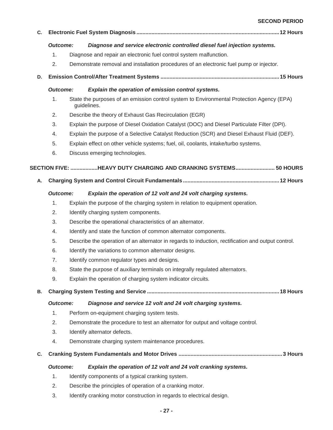**SECOND PERIOD** 

| C. |                 |                                      |                                                                                                          |  |  |
|----|-----------------|--------------------------------------|----------------------------------------------------------------------------------------------------------|--|--|
|    | <b>Outcome:</b> |                                      | Diagnose and service electronic controlled diesel fuel injection systems.                                |  |  |
|    | 1.              |                                      | Diagnose and repair an electronic fuel control system malfunction.                                       |  |  |
|    | 2.              |                                      | Demonstrate removal and installation procedures of an electronic fuel pump or injector.                  |  |  |
| D. |                 |                                      |                                                                                                          |  |  |
|    | <b>Outcome:</b> |                                      | Explain the operation of emission control systems.                                                       |  |  |
|    | 1.              |                                      | State the purposes of an emission control system to Environmental Protection Agency (EPA)<br>guidelines. |  |  |
|    | 2.              |                                      | Describe the theory of Exhaust Gas Recirculation (EGR)                                                   |  |  |
|    | 3.              |                                      | Explain the purpose of Diesel Oxidation Catalyst (DOC) and Diesel Particulate Filter (DPI).              |  |  |
|    | 4.              |                                      | Explain the purpose of a Selective Catalyst Reduction (SCR) and Diesel Exhaust Fluid (DEF).              |  |  |
|    | 5.              |                                      | Explain effect on other vehicle systems; fuel, oil, coolants, intake/turbo systems.                      |  |  |
|    | 6.              |                                      | Discuss emerging technologies.                                                                           |  |  |
|    |                 |                                      | SECTION FIVE: HEAVY DUTY CHARGING AND CRANKING SYSTEMS 50 HOURS                                          |  |  |
| А. |                 |                                      |                                                                                                          |  |  |
|    | <b>Outcome:</b> |                                      | Explain the operation of 12 volt and 24 volt charging systems.                                           |  |  |
|    | 1.              |                                      | Explain the purpose of the charging system in relation to equipment operation.                           |  |  |
|    | 2.              | Identify charging system components. |                                                                                                          |  |  |
|    | 3.              |                                      | Describe the operational characteristics of an alternator.                                               |  |  |
|    | 4.              |                                      | Identify and state the function of common alternator components.                                         |  |  |
|    | 5.              |                                      | Describe the operation of an alternator in regards to induction, rectification and output control.       |  |  |
|    | 6.              |                                      | Identify the variations to common alternator designs.                                                    |  |  |
|    | 7.              |                                      | Identify common regulator types and designs.                                                             |  |  |
|    | 8.              |                                      | State the purpose of auxiliary terminals on integrally regulated alternators.                            |  |  |
|    | 9.              |                                      | Explain the operation of charging system indicator circuits.                                             |  |  |
| В. |                 |                                      |                                                                                                          |  |  |
|    | <b>Outcome:</b> |                                      | Diagnose and service 12 volt and 24 volt charging systems.                                               |  |  |
|    | 1.              |                                      | Perform on-equipment charging system tests.                                                              |  |  |
|    | 2.              |                                      | Demonstrate the procedure to test an alternator for output and voltage control.                          |  |  |
|    | 3.              |                                      | Identify alternator defects.                                                                             |  |  |
|    | 4.              |                                      | Demonstrate charging system maintenance procedures.                                                      |  |  |
| C. |                 |                                      |                                                                                                          |  |  |
|    | <b>Outcome:</b> |                                      | Explain the operation of 12 volt and 24 volt cranking systems.                                           |  |  |
|    | 1.              |                                      | Identify components of a typical cranking system.                                                        |  |  |
|    | 2.              |                                      | Describe the principles of operation of a cranking motor.                                                |  |  |
|    | 3.              |                                      | Identify cranking motor construction in regards to electrical design.                                    |  |  |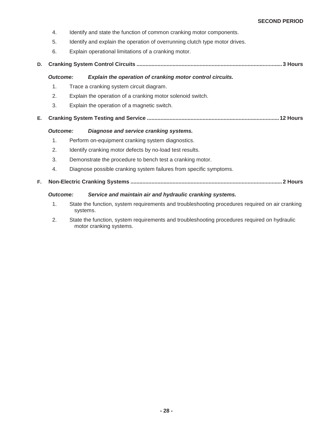- 4. Identify and state the function of common cranking motor components.
- 5. Identify and explain the operation of overrunning clutch type motor drives.
- 6. Explain operational limitations of a cranking motor.

# **D. Cranking System Control Circuits ................................................................................................. 3 Hours**

#### *Outcome: Explain the operation of cranking motor control circuits.*

- 1. Trace a cranking system circuit diagram.
- 2. Explain the operation of a cranking motor solenoid switch.
- 3. Explain the operation of a magnetic switch.
- **E. Cranking System Testing and Service ........................................................................................ 12 Hours**

# *Outcome: Diagnose and service cranking systems.*

- 1. Perform on-equipment cranking system diagnostics.
- 2. Identify cranking motor defects by no-load test results.
- 3. Demonstrate the procedure to bench test a cranking motor.
- 4. Diagnose possible cranking system failures from specific symptoms.

# **F. Non-Electric Cranking Systems ..................................................................................................... 2 Hours**

# *Outcome: Service and maintain air and hydraulic cranking systems.*

- 1. State the function, system requirements and troubleshooting procedures required on air cranking systems.
- 2. State the function, system requirements and troubleshooting procedures required on hydraulic motor cranking systems.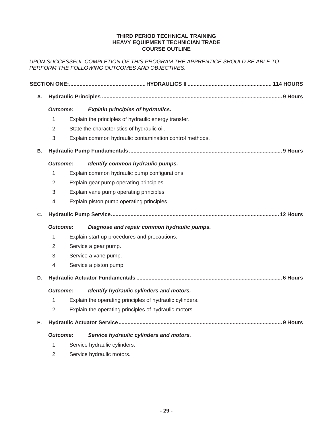#### **THIRD PERIOD TECHNICAL TRAINING HEAVY EQUIPMENT TECHNICIAN TRADE COURSE OUTLINE**

*UPON SUCCESSFUL COMPLETION OF THIS PROGRAM THE APPRENTICE SHOULD BE ABLE TO PERFORM THE FOLLOWING OUTCOMES AND OBJECTIVES.* 

| Α. |                 |                      |                                                          |  |
|----|-----------------|----------------------|----------------------------------------------------------|--|
|    | <b>Outcome:</b> |                      | <b>Explain principles of hydraulics.</b>                 |  |
|    | 1.              |                      | Explain the principles of hydraulic energy transfer.     |  |
|    | 2.              |                      | State the characteristics of hydraulic oil.              |  |
|    | 3.              |                      | Explain common hydraulic contamination control methods.  |  |
| В. |                 |                      |                                                          |  |
|    | <b>Outcome:</b> |                      | Identify common hydraulic pumps.                         |  |
|    | 1.              |                      | Explain common hydraulic pump configurations.            |  |
|    | 2.              |                      | Explain gear pump operating principles.                  |  |
|    | 3.              |                      | Explain vane pump operating principles.                  |  |
|    | 4.              |                      | Explain piston pump operating principles.                |  |
| C. |                 |                      |                                                          |  |
|    | <b>Outcome:</b> |                      | Diagnose and repair common hydraulic pumps.              |  |
|    | 1.              |                      | Explain start up procedures and precautions.             |  |
|    | 2.              | Service a gear pump. |                                                          |  |
|    | 3.              |                      | Service a vane pump.                                     |  |
|    | 4.              |                      | Service a piston pump.                                   |  |
| D. |                 |                      |                                                          |  |
|    | <b>Outcome:</b> |                      | Identify hydraulic cylinders and motors.                 |  |
|    | 1.              |                      | Explain the operating principles of hydraulic cylinders. |  |
|    | 2.              |                      | Explain the operating principles of hydraulic motors.    |  |
| Е. |                 |                      |                                                          |  |
|    | <b>Outcome:</b> |                      | Service hydraulic cylinders and motors.                  |  |
|    | 1.              |                      | Service hydraulic cylinders.                             |  |
|    | 2.              |                      | Service hydraulic motors.                                |  |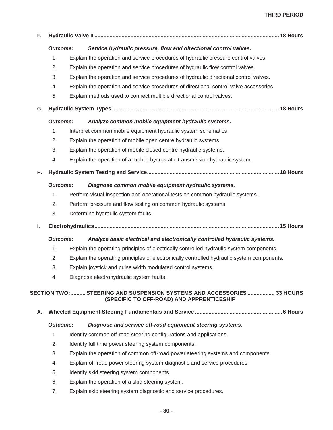# **THIRD PERIOD**

| F. |                 |                                                                                                                     |  |
|----|-----------------|---------------------------------------------------------------------------------------------------------------------|--|
|    | <b>Outcome:</b> | Service hydraulic pressure, flow and directional control valves.                                                    |  |
|    | 1.              | Explain the operation and service procedures of hydraulic pressure control valves.                                  |  |
|    | 2.              | Explain the operation and service procedures of hydraulic flow control valves.                                      |  |
|    | 3.              | Explain the operation and service procedures of hydraulic directional control valves.                               |  |
|    | 4.              | Explain the operation and service procedures of directional control valve accessories.                              |  |
|    | 5.              | Explain methods used to connect multiple directional control valves.                                                |  |
| G. |                 |                                                                                                                     |  |
|    | <b>Outcome:</b> | Analyze common mobile equipment hydraulic systems.                                                                  |  |
|    | 1.              | Interpret common mobile equipment hydraulic system schematics.                                                      |  |
|    | 2.              | Explain the operation of mobile open centre hydraulic systems.                                                      |  |
|    | 3.              | Explain the operation of mobile closed centre hydraulic systems.                                                    |  |
|    | 4.              | Explain the operation of a mobile hydrostatic transmission hydraulic system.                                        |  |
| н. |                 |                                                                                                                     |  |
|    | <b>Outcome:</b> | Diagnose common mobile equipment hydraulic systems.                                                                 |  |
|    | 1.              | Perform visual inspection and operational tests on common hydraulic systems.                                        |  |
|    | 2.              | Perform pressure and flow testing on common hydraulic systems.                                                      |  |
|    | 3.              | Determine hydraulic system faults.                                                                                  |  |
| ı. |                 |                                                                                                                     |  |
|    | <b>Outcome:</b> | Analyze basic electrical and electronically controlled hydraulic systems.                                           |  |
|    | 1.              | Explain the operating principles of electrically controlled hydraulic system components.                            |  |
|    | 2.              | Explain the operating principles of electronically controlled hydraulic system components.                          |  |
|    | 3.              | Explain joystick and pulse width modulated control systems.                                                         |  |
|    | 4.              | Diagnose electrohydraulic system faults.                                                                            |  |
|    |                 | SECTION TWO: STEERING AND SUSPENSION SYSTEMS AND ACCESSORIES  33 HOURS<br>(SPECIFIC TO OFF-ROAD) AND APPRENTICESHIP |  |
| Α. |                 |                                                                                                                     |  |
|    | <b>Outcome:</b> | Diagnose and service off-road equipment steering systems.                                                           |  |
|    | 1.              | Identify common off-road steering configurations and applications.                                                  |  |
|    | 2.              | Identify full time power steering system components.                                                                |  |
|    | 3.              | Explain the operation of common off-road power steering systems and components.                                     |  |
|    | 4.              | Explain off-road power steering system diagnostic and service procedures.                                           |  |
|    | 5.              | Identify skid steering system components.                                                                           |  |
|    | 6.              | Explain the operation of a skid steering system.                                                                    |  |
|    | 7.              | Explain skid steering system diagnostic and service procedures.                                                     |  |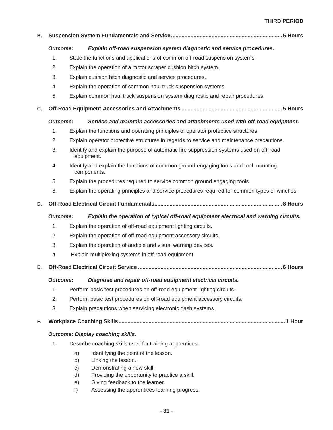# **THIRD PERIOD**

| В. |                 |                      |                                                                                                       |  |  |
|----|-----------------|----------------------|-------------------------------------------------------------------------------------------------------|--|--|
|    | <b>Outcome:</b> |                      | Explain off-road suspension system diagnostic and service procedures.                                 |  |  |
|    | 1.              |                      | State the functions and applications of common off-road suspension systems.                           |  |  |
|    | 2.              |                      | Explain the operation of a motor scraper cushion hitch system.                                        |  |  |
|    | 3.              |                      | Explain cushion hitch diagnostic and service procedures.                                              |  |  |
|    | 4.              |                      | Explain the operation of common haul truck suspension systems.                                        |  |  |
|    | 5.              |                      | Explain common haul truck suspension system diagnostic and repair procedures.                         |  |  |
| C. |                 |                      |                                                                                                       |  |  |
|    | <b>Outcome:</b> |                      | Service and maintain accessories and attachments used with off-road equipment.                        |  |  |
|    | 1.              |                      | Explain the functions and operating principles of operator protective structures.                     |  |  |
|    | 2.              |                      | Explain operator protective structures in regards to service and maintenance precautions.             |  |  |
|    | 3.              |                      | Identify and explain the purpose of automatic fire suppression systems used on off-road<br>equipment. |  |  |
|    | 4.              |                      | Identify and explain the functions of common ground engaging tools and tool mounting<br>components.   |  |  |
|    | 5.              |                      | Explain the procedures required to service common ground engaging tools.                              |  |  |
|    | 6.              |                      | Explain the operating principles and service procedures required for common types of winches.         |  |  |
| D. |                 |                      |                                                                                                       |  |  |
|    | <b>Outcome:</b> |                      | Explain the operation of typical off-road equipment electrical and warning circuits.                  |  |  |
|    | 1.              |                      | Explain the operation of off-road equipment lighting circuits.                                        |  |  |
|    | 2.              |                      | Explain the operation of off-road equipment accessory circuits.                                       |  |  |
|    | 3.              |                      | Explain the operation of audible and visual warning devices.                                          |  |  |
|    | 4.              |                      | Explain multiplexing systems in off-road equipment.                                                   |  |  |
| Е. |                 |                      |                                                                                                       |  |  |
|    | <b>Outcome:</b> |                      | Diagnose and repair off-road equipment electrical circuits.                                           |  |  |
|    | 1.              |                      | Perform basic test procedures on off-road equipment lighting circuits.                                |  |  |
|    | 2.              |                      | Perform basic test procedures on off-road equipment accessory circuits.                               |  |  |
|    | 3.              |                      | Explain precautions when servicing electronic dash systems.                                           |  |  |
| F. |                 |                      |                                                                                                       |  |  |
|    |                 |                      | <b>Outcome: Display coaching skills.</b>                                                              |  |  |
|    | 1.              |                      | Describe coaching skills used for training apprentices.                                               |  |  |
|    |                 | a)                   | Identifying the point of the lesson.                                                                  |  |  |
|    |                 | b)                   | Linking the lesson.                                                                                   |  |  |
|    |                 | $\mathsf{C}$ )<br>d) | Demonstrating a new skill.<br>Providing the opportunity to practice a skill.                          |  |  |
|    |                 | e)                   | Giving feedback to the learner.                                                                       |  |  |

f) Assessing the apprentices learning progress.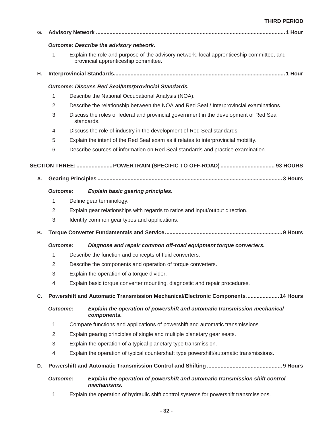| G. |                                                                                                                                         |  |                                                                                                     |  |  |  |  |
|----|-----------------------------------------------------------------------------------------------------------------------------------------|--|-----------------------------------------------------------------------------------------------------|--|--|--|--|
|    | <b>Outcome: Describe the advisory network.</b>                                                                                          |  |                                                                                                     |  |  |  |  |
|    | 1.<br>Explain the role and purpose of the advisory network, local apprenticeship committee, and<br>provincial apprenticeship committee. |  |                                                                                                     |  |  |  |  |
| Η. |                                                                                                                                         |  |                                                                                                     |  |  |  |  |
|    |                                                                                                                                         |  | <b>Outcome: Discuss Red Seal/Interprovincial Standards.</b>                                         |  |  |  |  |
|    | 1.                                                                                                                                      |  | Describe the National Occupational Analysis (NOA).                                                  |  |  |  |  |
|    | 2.                                                                                                                                      |  | Describe the relationship between the NOA and Red Seal / Interprovincial examinations.              |  |  |  |  |
|    | 3.                                                                                                                                      |  | Discuss the roles of federal and provincial government in the development of Red Seal<br>standards. |  |  |  |  |
|    | 4.                                                                                                                                      |  | Discuss the role of industry in the development of Red Seal standards.                              |  |  |  |  |
|    | 5.                                                                                                                                      |  | Explain the intent of the Red Seal exam as it relates to interprovincial mobility.                  |  |  |  |  |
|    | 6.                                                                                                                                      |  | Describe sources of information on Red Seal standards and practice examination.                     |  |  |  |  |
|    |                                                                                                                                         |  | SECTION THREE: POWERTRAIN (SPECIFIC TO OFF-ROAD)  93 HOURS                                          |  |  |  |  |
| А. |                                                                                                                                         |  |                                                                                                     |  |  |  |  |
|    | <b>Outcome:</b>                                                                                                                         |  | <b>Explain basic gearing principles.</b>                                                            |  |  |  |  |
|    | 1.                                                                                                                                      |  | Define gear terminology.                                                                            |  |  |  |  |
|    | 2.                                                                                                                                      |  | Explain gear relationships with regards to ratios and input/output direction.                       |  |  |  |  |
|    | 3.                                                                                                                                      |  | Identify common gear types and applications.                                                        |  |  |  |  |
| В. |                                                                                                                                         |  |                                                                                                     |  |  |  |  |
|    | <b>Outcome:</b>                                                                                                                         |  | Diagnose and repair common off-road equipment torque converters.                                    |  |  |  |  |
|    | 1.                                                                                                                                      |  | Describe the function and concepts of fluid converters.                                             |  |  |  |  |
|    | 2.                                                                                                                                      |  | Describe the components and operation of torque converters.                                         |  |  |  |  |
|    | 3.                                                                                                                                      |  | Explain the operation of a torque divider.                                                          |  |  |  |  |
|    | 4.                                                                                                                                      |  | Explain basic torque converter mounting, diagnostic and repair procedures.                          |  |  |  |  |
| C. |                                                                                                                                         |  | Powershift and Automatic Transmission Mechanical/Electronic Components 14 Hours                     |  |  |  |  |
|    | <b>Outcome:</b>                                                                                                                         |  | Explain the operation of powershift and automatic transmission mechanical<br>components.            |  |  |  |  |
|    | 1.                                                                                                                                      |  | Compare functions and applications of powershift and automatic transmissions.                       |  |  |  |  |
|    | 2.                                                                                                                                      |  | Explain gearing principles of single and multiple planetary gear seats.                             |  |  |  |  |
|    | 3.                                                                                                                                      |  | Explain the operation of a typical planetary type transmission.                                     |  |  |  |  |
|    | 4.                                                                                                                                      |  | Explain the operation of typical countershaft type powershift/automatic transmissions.              |  |  |  |  |
| D. |                                                                                                                                         |  |                                                                                                     |  |  |  |  |
|    | <b>Outcome:</b>                                                                                                                         |  | Explain the operation of powershift and automatic transmission shift control<br>mechanisms.         |  |  |  |  |
|    | 1.                                                                                                                                      |  | Explain the operation of hydraulic shift control systems for powershift transmissions.              |  |  |  |  |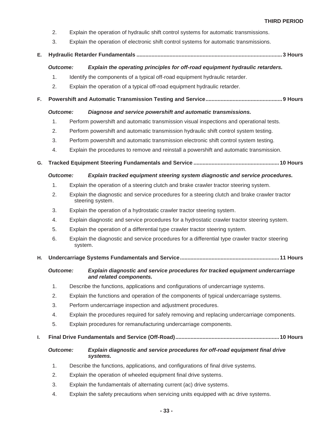- 2. Explain the operation of hydraulic shift control systems for automatic transmissions.
- 3. Explain the operation of electronic shift control systems for automatic transmissions.

# **E. Hydraulic Retarder Fundamentals ................................................................................................. 3 Hours**

# *Outcome: Explain the operating principles for off-road equipment hydraulic retarders.*

- 1. Identify the components of a typical off-road equipment hydraulic retarder.
- 2. Explain the operation of a typical off-road equipment hydraulic retarder.
- **F. Powershift and Automatic Transmission Testing and Service ................................................... 9 Hours**

#### *Outcome: Diagnose and service powershift and automatic transmissions.*

- 1. Perform powershift and automatic transmission visual inspections and operational tests.
- 2. Perform powershift and automatic transmission hydraulic shift control system testing.
- 3. Perform powershift and automatic transmission electronic shift control system testing.
- 4. Explain the procedures to remove and reinstall a powershift and automatic transmission.
- **G. Tracked Equipment Steering Fundamentals and Service .........................................................10 Hours**

# *Outcome: Explain tracked equipment steering system diagnostic and service procedures.*

- 1. Explain the operation of a steering clutch and brake crawler tractor steering system.
- 2. Explain the diagnostic and service procedures for a steering clutch and brake crawler tractor steering system.
- 3. Explain the operation of a hydrostatic crawler tractor steering system.
- 4. Explain diagnostic and service procedures for a hydrostatic crawler tractor steering system.
- 5. Explain the operation of a differential type crawler tractor steering system.
- 6. Explain the diagnostic and service procedures for a differential type crawler tractor steering system.

# **H. Undercarriage Systems Fundamentals and Service .................................................................. 11 Hours**

# *Outcome: Explain diagnostic and service procedures for tracked equipment undercarriage and related components.*

- 1. Describe the functions, applications and configurations of undercarriage systems.
- 2. Explain the functions and operation of the components of typical undercarriage systems.
- 3. Perform undercarriage inspection and adjustment procedures.
- 4. Explain the procedures required for safely removing and replacing undercarriage components.
- 5. Explain procedures for remanufacturing undercarriage components.

# **I. Final Drive Fundamentals and Service (Off-Road) .....................................................................10 Hours**

# *Outcome: Explain diagnostic and service procedures for off-road equipment final drive systems.*

- 1. Describe the functions, applications, and configurations of final drive systems.
- 2. Explain the operation of wheeled equipment final drive systems.
- 3. Explain the fundamentals of alternating current (ac) drive systems.
- 4. Explain the safety precautions when servicing units equipped with ac drive systems.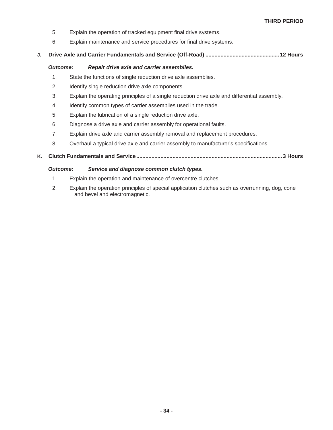- 5. Explain the operation of tracked equipment final drive systems.
- 6. Explain maintenance and service procedures for final drive systems.

#### **J. Drive Axle and Carrier Fundamentals and Service (Off-Road) ................................................. 12 Hours**

#### *Outcome: Repair drive axle and carrier assemblies.*

- 1. State the functions of single reduction drive axle assemblies.
- 2. Identify single reduction drive axle components.
- 3. Explain the operating principles of a single reduction drive axle and differential assembly.
- 4. Identify common types of carrier assemblies used in the trade.
- 5. Explain the lubrication of a single reduction drive axle.
- 6. Diagnose a drive axle and carrier assembly for operational faults.
- 7. Explain drive axle and carrier assembly removal and replacement procedures.
- 8. Overhaul a typical drive axle and carrier assembly to manufacturer's specifications.
- **K. Clutch Fundamentals and Service ................................................................................................. 3 Hours**

#### *Outcome: Service and diagnose common clutch types.*

- 1. Explain the operation and maintenance of overcentre clutches.
- 2. Explain the operation principles of special application clutches such as overrunning, dog, cone and bevel and electromagnetic.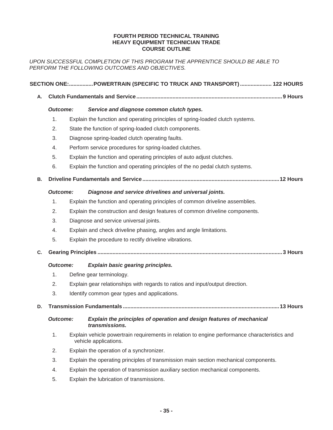#### **FOURTH PERIOD TECHNICAL TRAINING HEAVY EQUIPMENT TECHNICIAN TRADE COURSE OUTLINE**

*UPON SUCCESSFUL COMPLETION OF THIS PROGRAM THE APPRENTICE SHOULD BE ABLE TO PERFORM THE FOLLOWING OUTCOMES AND OBJECTIVES.* 

|    |                 |                                                        | SECTION ONE:POWERTRAIN (SPECIFIC TO TRUCK AND TRANSPORT)  122 HOURS                                                    |  |  |  |
|----|-----------------|--------------------------------------------------------|------------------------------------------------------------------------------------------------------------------------|--|--|--|
| Α. |                 |                                                        |                                                                                                                        |  |  |  |
|    | <b>Outcome:</b> |                                                        | Service and diagnose common clutch types.                                                                              |  |  |  |
|    | 1.              |                                                        | Explain the function and operating principles of spring-loaded clutch systems.                                         |  |  |  |
|    | 2.              | State the function of spring-loaded clutch components. |                                                                                                                        |  |  |  |
|    | 3.              |                                                        | Diagnose spring-loaded clutch operating faults.                                                                        |  |  |  |
|    | 4.              |                                                        | Perform service procedures for spring-loaded clutches.                                                                 |  |  |  |
|    | 5.              |                                                        | Explain the function and operating principles of auto adjust clutches.                                                 |  |  |  |
|    | 6.              |                                                        | Explain the function and operating principles of the no pedal clutch systems.                                          |  |  |  |
| В. |                 |                                                        |                                                                                                                        |  |  |  |
|    | <b>Outcome:</b> |                                                        | Diagnose and service drivelines and universal joints.                                                                  |  |  |  |
|    | 1.              |                                                        | Explain the function and operating principles of common driveline assemblies.                                          |  |  |  |
|    | 2.              |                                                        | Explain the construction and design features of common driveline components.                                           |  |  |  |
|    | 3.              |                                                        | Diagnose and service universal joints.                                                                                 |  |  |  |
|    | 4.              |                                                        | Explain and check driveline phasing, angles and angle limitations.                                                     |  |  |  |
|    | 5.              |                                                        | Explain the procedure to rectify driveline vibrations.                                                                 |  |  |  |
| C. |                 |                                                        |                                                                                                                        |  |  |  |
|    | <b>Outcome:</b> |                                                        | <b>Explain basic gearing principles.</b>                                                                               |  |  |  |
|    | 1.              |                                                        | Define gear terminology.                                                                                               |  |  |  |
|    | 2.              |                                                        | Explain gear relationships with regards to ratios and input/output direction.                                          |  |  |  |
|    | 3.              |                                                        | Identify common gear types and applications.                                                                           |  |  |  |
| D. |                 |                                                        |                                                                                                                        |  |  |  |
|    | <b>Outcome:</b> |                                                        | Explain the principles of operation and design features of mechanical<br><i>transmissions.</i>                         |  |  |  |
|    | 1.              |                                                        | Explain vehicle powertrain requirements in relation to engine performance characteristics and<br>vehicle applications. |  |  |  |
|    | 2.              |                                                        | Explain the operation of a synchronizer.                                                                               |  |  |  |
|    | 3.              |                                                        | Explain the operating principles of transmission main section mechanical components.                                   |  |  |  |
|    | 4.              |                                                        | Explain the operation of transmission auxiliary section mechanical components.                                         |  |  |  |
|    | 5.              |                                                        | Explain the lubrication of transmissions.                                                                              |  |  |  |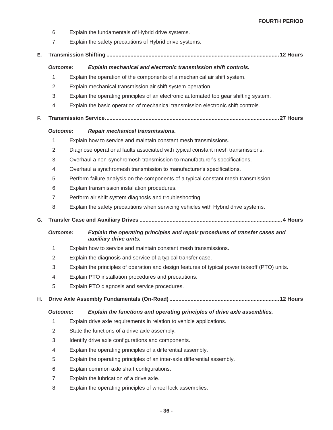- 6. Explain the fundamentals of Hybrid drive systems.
- 7. Explain the safety precautions of Hybrid drive systems.
- **E. Transmission Shifting ................................................................................................................... 12 Hours**

# *Outcome: Explain mechanical and electronic transmission shift controls.*

- 1. Explain the operation of the components of a mechanical air shift system.
- 2. Explain mechanical transmission air shift system operation.
- 3. Explain the operating principles of an electronic automated top gear shifting system.
- 4. Explain the basic operation of mechanical transmission electronic shift controls.
- **F. Transmission Service ....................................................................................................................27 Hours**

# *Outcome: Repair mechanical transmissions.*

- 1. Explain how to service and maintain constant mesh transmissions.
- 2. Diagnose operational faults associated with typical constant mesh transmissions.
- 3. Overhaul a non-synchromesh transmission to manufacturer's specifications.
- 4. Overhaul a synchromesh transmission to manufacturer's specifications.
- 5. Perform failure analysis on the components of a typical constant mesh transmission.
- 6. Explain transmission installation procedures.
- 7. Perform air shift system diagnosis and troubleshooting.
- 8. Explain the safety precautions when servicing vehicles with Hybrid drive systems.
- **G. Transfer Case and Auxiliary Drives ............................................................................................... 4 Hours**

# *Outcome: Explain the operating principles and repair procedures of transfer cases and auxiliary drive units.*

- 1. Explain how to service and maintain constant mesh transmissions.
- 2. Explain the diagnosis and service of a typical transfer case.
- 3. Explain the principles of operation and design features of typical power takeoff (PTO) units.
- 4. Explain PTO installation procedures and precautions.
- 5. Explain PTO diagnosis and service procedures.

# **H. Drive Axle Assembly Fundamentals (On-Road) ......................................................................... 12 Hours**

# *Outcome: Explain the functions and operating principles of drive axle assemblies.*

- 1. Explain drive axle requirements in relation to vehicle applications.
- 2. State the functions of a drive axle assembly.
- 3. Identify drive axle configurations and components.
- 4. Explain the operating principles of a differential assembly.
- 5. Explain the operating principles of an inter-axle differential assembly.
- 6. Explain common axle shaft configurations.
- 7. Explain the lubrication of a drive axle.
- 8. Explain the operating principles of wheel lock assemblies.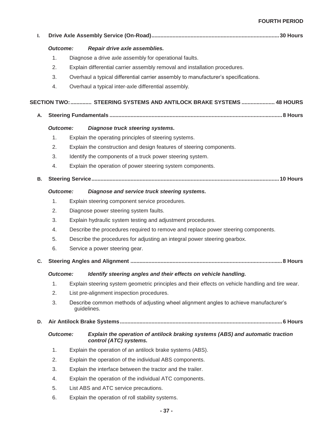# **FOURTH PERIOD**

| ı. |                 |                                                                            |                                                                                                          |  |  |  |
|----|-----------------|----------------------------------------------------------------------------|----------------------------------------------------------------------------------------------------------|--|--|--|
|    | <b>Outcome:</b> |                                                                            | Repair drive axle assemblies.                                                                            |  |  |  |
|    | 1.              |                                                                            | Diagnose a drive axle assembly for operational faults.                                                   |  |  |  |
|    | 2.              | Explain differential carrier assembly removal and installation procedures. |                                                                                                          |  |  |  |
|    | 3.              |                                                                            | Overhaul a typical differential carrier assembly to manufacturer's specifications.                       |  |  |  |
|    | 4.              |                                                                            | Overhaul a typical inter-axle differential assembly.                                                     |  |  |  |
|    |                 |                                                                            | SECTION TWO:  STEERING SYSTEMS AND ANTILOCK BRAKE SYSTEMS  48 HOURS                                      |  |  |  |
| А. |                 |                                                                            |                                                                                                          |  |  |  |
|    | <b>Outcome:</b> |                                                                            | Diagnose truck steering systems.                                                                         |  |  |  |
|    | 1.              |                                                                            | Explain the operating principles of steering systems.                                                    |  |  |  |
|    | 2.              |                                                                            | Explain the construction and design features of steering components.                                     |  |  |  |
|    | 3.              |                                                                            | Identify the components of a truck power steering system.                                                |  |  |  |
|    | 4.              |                                                                            | Explain the operation of power steering system components.                                               |  |  |  |
| В. |                 |                                                                            |                                                                                                          |  |  |  |
|    | <b>Outcome:</b> |                                                                            | Diagnose and service truck steering systems.                                                             |  |  |  |
|    | 1.              |                                                                            | Explain steering component service procedures.                                                           |  |  |  |
|    | 2.              |                                                                            | Diagnose power steering system faults.                                                                   |  |  |  |
|    | 3.              |                                                                            | Explain hydraulic system testing and adjustment procedures.                                              |  |  |  |
|    | 4.              |                                                                            | Describe the procedures required to remove and replace power steering components.                        |  |  |  |
|    | 5.              |                                                                            | Describe the procedures for adjusting an integral power steering gearbox.                                |  |  |  |
|    | 6.              |                                                                            | Service a power steering gear.                                                                           |  |  |  |
| C. |                 |                                                                            |                                                                                                          |  |  |  |
|    |                 |                                                                            | Outcome: Identify steering angles and their effects on vehicle handling.                                 |  |  |  |
|    | 1.              |                                                                            | Explain steering system geometric principles and their effects on vehicle handling and tire wear.        |  |  |  |
|    | 2.              |                                                                            | List pre-alignment inspection procedures.                                                                |  |  |  |
|    | 3.              |                                                                            | Describe common methods of adjusting wheel alignment angles to achieve manufacturer's<br>guidelines.     |  |  |  |
| D. |                 |                                                                            |                                                                                                          |  |  |  |
|    | <b>Outcome:</b> |                                                                            | Explain the operation of antilock braking systems (ABS) and automatic traction<br>control (ATC) systems. |  |  |  |
|    | 1.              |                                                                            | Explain the operation of an antilock brake systems (ABS).                                                |  |  |  |
|    | 2.              |                                                                            | Explain the operation of the individual ABS components.                                                  |  |  |  |
|    | 3.              |                                                                            | Explain the interface between the tractor and the trailer.                                               |  |  |  |
|    | 4.              |                                                                            | Explain the operation of the individual ATC components.                                                  |  |  |  |
|    | 5.              |                                                                            | List ABS and ATC service precautions.                                                                    |  |  |  |
|    | 6.              |                                                                            | Explain the operation of roll stability systems.                                                         |  |  |  |
|    |                 |                                                                            |                                                                                                          |  |  |  |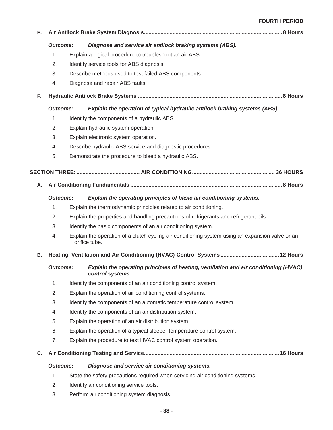#### **FOURTH PERIOD**

| Е. |                 |                                                                                                                   |  |
|----|-----------------|-------------------------------------------------------------------------------------------------------------------|--|
|    | <b>Outcome:</b> | Diagnose and service air antilock braking systems (ABS).                                                          |  |
|    | 1.              | Explain a logical procedure to troubleshoot an air ABS.                                                           |  |
|    | 2.              | Identify service tools for ABS diagnosis.                                                                         |  |
|    | 3.              | Describe methods used to test failed ABS components.                                                              |  |
|    | 4.              | Diagnose and repair ABS faults.                                                                                   |  |
| F. |                 |                                                                                                                   |  |
|    | <b>Outcome:</b> | Explain the operation of typical hydraulic antilock braking systems (ABS).                                        |  |
|    | 1.              | Identify the components of a hydraulic ABS.                                                                       |  |
|    | 2.              | Explain hydraulic system operation.                                                                               |  |
|    | 3.              | Explain electronic system operation.                                                                              |  |
|    | 4.              | Describe hydraulic ABS service and diagnostic procedures.                                                         |  |
|    | 5.              | Demonstrate the procedure to bleed a hydraulic ABS.                                                               |  |
|    |                 |                                                                                                                   |  |
| Α. |                 |                                                                                                                   |  |
|    | <b>Outcome:</b> | Explain the operating principles of basic air conditioning systems.                                               |  |
|    | 1.              | Explain the thermodynamic principles related to air conditioning.                                                 |  |
|    | 2.              | Explain the properties and handling precautions of refrigerants and refrigerant oils.                             |  |
|    | 3.              | Identify the basic components of an air conditioning system.                                                      |  |
|    | 4.              | Explain the operation of a clutch cycling air conditioning system using an expansion valve or an<br>orifice tube. |  |
| В. |                 |                                                                                                                   |  |
|    | Outcome:        | Explain the operating principles of heating, ventilation and air conditioning (HVAC)<br>control systems.          |  |
|    | 1.              | Identify the components of an air conditioning control system.                                                    |  |
|    | 2.              | Explain the operation of air conditioning control systems.                                                        |  |
|    | 3.              | Identify the components of an automatic temperature control system.                                               |  |
|    | 4.              | Identify the components of an air distribution system.                                                            |  |
|    | 5.              | Explain the operation of an air distribution system.                                                              |  |
|    | 6.              | Explain the operation of a typical sleeper temperature control system.                                            |  |
|    | 7.              | Explain the procedure to test HVAC control system operation.                                                      |  |
| C. |                 |                                                                                                                   |  |
|    | <b>Outcome:</b> | Diagnose and service air conditioning systems.                                                                    |  |
|    | 1.              | State the safety precautions required when servicing air conditioning systems.                                    |  |
|    |                 | the company's company's problems.                                                                                 |  |

- 2. Identify air conditioning service tools.
- 3. Perform air conditioning system diagnosis.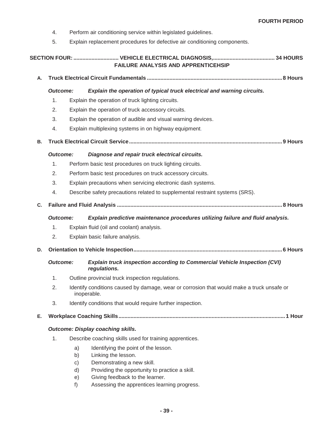- 4. Perform air conditioning service within legislated guidelines.
- 5. Explain replacement procedures for defective air conditioning components.

|    |                 |    | <b>FAILURE ANALYSIS AND APPRENTICEHSIP</b>                                                               |  |  |  |  |
|----|-----------------|----|----------------------------------------------------------------------------------------------------------|--|--|--|--|
| А. |                 |    |                                                                                                          |  |  |  |  |
|    | <b>Outcome:</b> |    | Explain the operation of typical truck electrical and warning circuits.                                  |  |  |  |  |
|    | 1.              |    | Explain the operation of truck lighting circuits.                                                        |  |  |  |  |
|    | 2.              |    | Explain the operation of truck accessory circuits.                                                       |  |  |  |  |
|    | 3.              |    | Explain the operation of audible and visual warning devices.                                             |  |  |  |  |
|    | 4.              |    | Explain multiplexing systems in on highway equipment.                                                    |  |  |  |  |
| В. |                 |    |                                                                                                          |  |  |  |  |
|    | <b>Outcome:</b> |    | Diagnose and repair truck electrical circuits.                                                           |  |  |  |  |
|    | 1.              |    | Perform basic test procedures on truck lighting circuits.                                                |  |  |  |  |
|    | 2.              |    | Perform basic test procedures on truck accessory circuits.                                               |  |  |  |  |
|    | 3.              |    | Explain precautions when servicing electronic dash systems.                                              |  |  |  |  |
|    | 4.              |    | Describe safety precautions related to supplemental restraint systems (SRS).                             |  |  |  |  |
| C. |                 |    |                                                                                                          |  |  |  |  |
|    | <b>Outcome:</b> |    | Explain predictive maintenance procedures utilizing failure and fluid analysis.                          |  |  |  |  |
|    | 1.              |    | Explain fluid (oil and coolant) analysis.                                                                |  |  |  |  |
|    | 2.              |    | Explain basic failure analysis.                                                                          |  |  |  |  |
| D. |                 |    |                                                                                                          |  |  |  |  |
|    | <b>Outcome:</b> |    | <b>Explain truck inspection according to Commercial Vehicle Inspection (CVI)</b><br>regulations.         |  |  |  |  |
|    | 1.              |    | Outline provincial truck inspection regulations.                                                         |  |  |  |  |
|    | 2.              |    | Identify conditions caused by damage, wear or corrosion that would make a truck unsafe or<br>inoperable. |  |  |  |  |
|    | 3.              |    | Identify conditions that would require further inspection.                                               |  |  |  |  |
| Е. |                 |    |                                                                                                          |  |  |  |  |
|    |                 |    | <b>Outcome: Display coaching skills.</b>                                                                 |  |  |  |  |
|    | 1.              |    | Describe coaching skills used for training apprentices.                                                  |  |  |  |  |
|    |                 | a) | Identifying the point of the lesson.                                                                     |  |  |  |  |
|    |                 | b) | Linking the lesson.                                                                                      |  |  |  |  |
|    |                 | c) | Demonstrating a new skill.                                                                               |  |  |  |  |
|    |                 | d) | Providing the opportunity to practice a skill.<br>ing foodhook to the learner                            |  |  |  |  |

e) Giving feedback to the learner. f) Assessing the apprentices learning progress.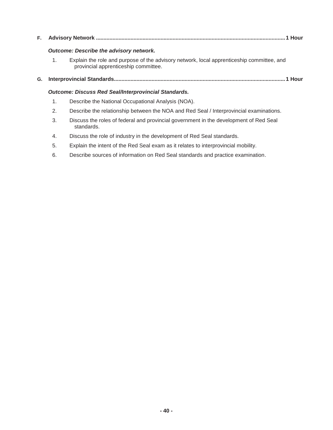| F., |                                                             |                                                                                                                                   |  |  |  |  |  |  |
|-----|-------------------------------------------------------------|-----------------------------------------------------------------------------------------------------------------------------------|--|--|--|--|--|--|
|     | <b>Outcome: Describe the advisory network.</b>              |                                                                                                                                   |  |  |  |  |  |  |
|     | $1_{\cdot}$                                                 | Explain the role and purpose of the advisory network, local apprenticeship committee, and<br>provincial apprenticeship committee. |  |  |  |  |  |  |
| G.  |                                                             |                                                                                                                                   |  |  |  |  |  |  |
|     | <b>Outcome: Discuss Red Seal/Interprovincial Standards.</b> |                                                                                                                                   |  |  |  |  |  |  |
|     | 1.                                                          | Describe the National Occupational Analysis (NOA).                                                                                |  |  |  |  |  |  |
|     | 2.                                                          | Describe the relationship between the NOA and Red Seal / Interprovincial examinations.                                            |  |  |  |  |  |  |
|     | 3.                                                          | Discuss the roles of federal and provincial government in the development of Red Seal<br>standards.                               |  |  |  |  |  |  |

- 4. Discuss the role of industry in the development of Red Seal standards.
- 5. Explain the intent of the Red Seal exam as it relates to interprovincial mobility.
- 6. Describe sources of information on Red Seal standards and practice examination.